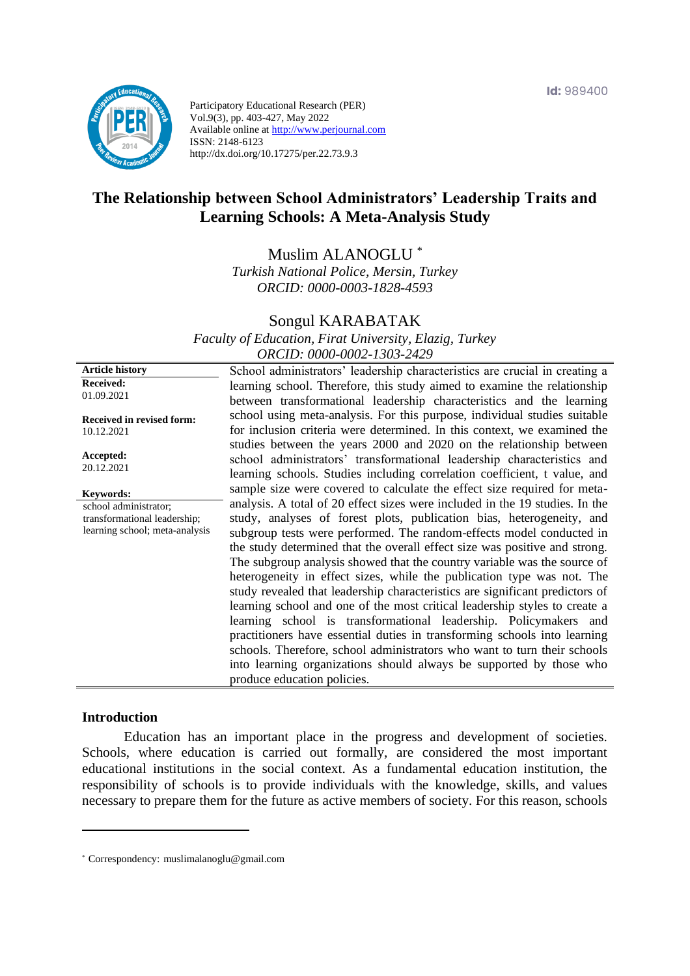

Participatory Educational Research (PER) Vol.9(3), pp. 403-427, May 2022 Available online at http://www.perjournal.com ISSN: 2148-6123 http://dx.doi.org/10.17275/per.22.73.9.3

# **The Relationship between School Administrators' Leadership Traits and Learning Schools: A Meta-Analysis Study**

Muslim ALANOGLU \*

*Turkish National Police, Mersin, Turkey ORCID: 0000-0003-1828-4593*

# Songul KARABATAK

*Faculty of Education, Firat University, Elazig, Turkey ORCID: 0000-0002-1303-2429*

**Article history Received:**  01.09.2021

**Received in revised form:**  10.12.2021

**Accepted:** 20.12.2021

**Keywords:**

school administrator; transformational leadership; learning school; meta-analysis School administrators' leadership characteristics are crucial in creating a learning school. Therefore, this study aimed to examine the relationship between transformational leadership characteristics and the learning school using meta-analysis. For this purpose, individual studies suitable for inclusion criteria were determined. In this context, we examined the studies between the years 2000 and 2020 on the relationship between school administrators' transformational leadership characteristics and learning schools. Studies including correlation coefficient, t value, and sample size were covered to calculate the effect size required for metaanalysis. A total of 20 effect sizes were included in the 19 studies. In the study, analyses of forest plots, publication bias, heterogeneity, and subgroup tests were performed. The random-effects model conducted in the study determined that the overall effect size was positive and strong. The subgroup analysis showed that the country variable was the source of heterogeneity in effect sizes, while the publication type was not. The study revealed that leadership characteristics are significant predictors of learning school and one of the most critical leadership styles to create a learning school is transformational leadership. Policymakers and practitioners have essential duties in transforming schools into learning schools. Therefore, school administrators who want to turn their schools into learning organizations should always be supported by those who produce education policies.

### **Introduction**

Education has an important place in the progress and development of societies. Schools, where education is carried out formally, are considered the most important educational institutions in the social context. As a fundamental education institution, the responsibility of schools is to provide individuals with the knowledge, skills, and values necessary to prepare them for the future as active members of society. For this reason, schools

<sup>\*</sup> [Correspondency:](mailto:Correspondency:) muslimalanoglu@gmail.com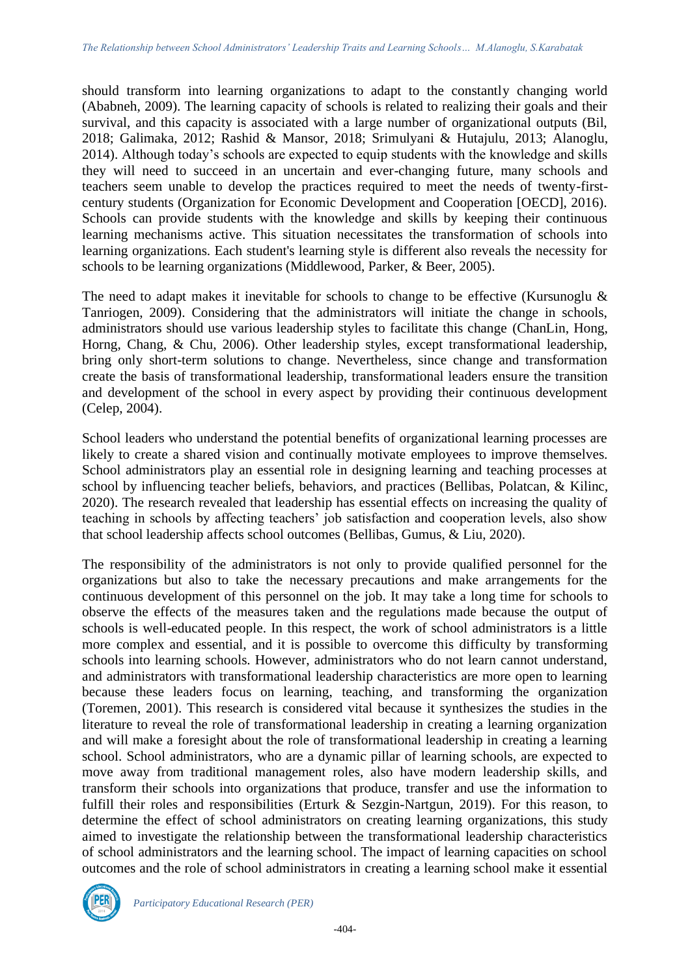should transform into learning organizations to adapt to the constantly changing world (Ababneh, 2009). The learning capacity of schools is related to realizing their goals and their survival, and this capacity is associated with a large number of organizational outputs (Bil, 2018; Galimaka, 2012; Rashid & Mansor, 2018; Srimulyani & Hutajulu, 2013; Alanoglu, 2014). Although today's schools are expected to equip students with the knowledge and skills they will need to succeed in an uncertain and ever-changing future, many schools and teachers seem unable to develop the practices required to meet the needs of twenty-firstcentury students (Organization for Economic Development and Cooperation [OECD], 2016). Schools can provide students with the knowledge and skills by keeping their continuous learning mechanisms active. This situation necessitates the transformation of schools into learning organizations. Each student's learning style is different also reveals the necessity for schools to be learning organizations (Middlewood, Parker, & Beer, 2005).

The need to adapt makes it inevitable for schools to change to be effective (Kursunoglu & Tanriogen, 2009). Considering that the administrators will initiate the change in schools, administrators should use various leadership styles to facilitate this change (ChanLin, Hong, Horng, Chang, & Chu, 2006). Other leadership styles, except transformational leadership, bring only short-term solutions to change. Nevertheless, since change and transformation create the basis of transformational leadership, transformational leaders ensure the transition and development of the school in every aspect by providing their continuous development (Celep, 2004).

School leaders who understand the potential benefits of organizational learning processes are likely to create a shared vision and continually motivate employees to improve themselves. School administrators play an essential role in designing learning and teaching processes at school by influencing teacher beliefs, behaviors, and practices (Bellibas, Polatcan, & Kilinc, 2020). The research revealed that leadership has essential effects on increasing the quality of teaching in schools by affecting teachers' job satisfaction and cooperation levels, also show that school leadership affects school outcomes (Bellibas, Gumus, & Liu, 2020).

The responsibility of the administrators is not only to provide qualified personnel for the organizations but also to take the necessary precautions and make arrangements for the continuous development of this personnel on the job. It may take a long time for schools to observe the effects of the measures taken and the regulations made because the output of schools is well-educated people. In this respect, the work of school administrators is a little more complex and essential, and it is possible to overcome this difficulty by transforming schools into learning schools. However, administrators who do not learn cannot understand, and administrators with transformational leadership characteristics are more open to learning because these leaders focus on learning, teaching, and transforming the organization (Toremen, 2001). This research is considered vital because it synthesizes the studies in the literature to reveal the role of transformational leadership in creating a learning organization and will make a foresight about the role of transformational leadership in creating a learning school. School administrators, who are a dynamic pillar of learning schools, are expected to move away from traditional management roles, also have modern leadership skills, and transform their schools into organizations that produce, transfer and use the information to fulfill their roles and responsibilities (Erturk & Sezgin-Nartgun, 2019). For this reason, to determine the effect of school administrators on creating learning organizations, this study aimed to investigate the relationship between the transformational leadership characteristics of school administrators and the learning school. The impact of learning capacities on school outcomes and the role of school administrators in creating a learning school make it essential

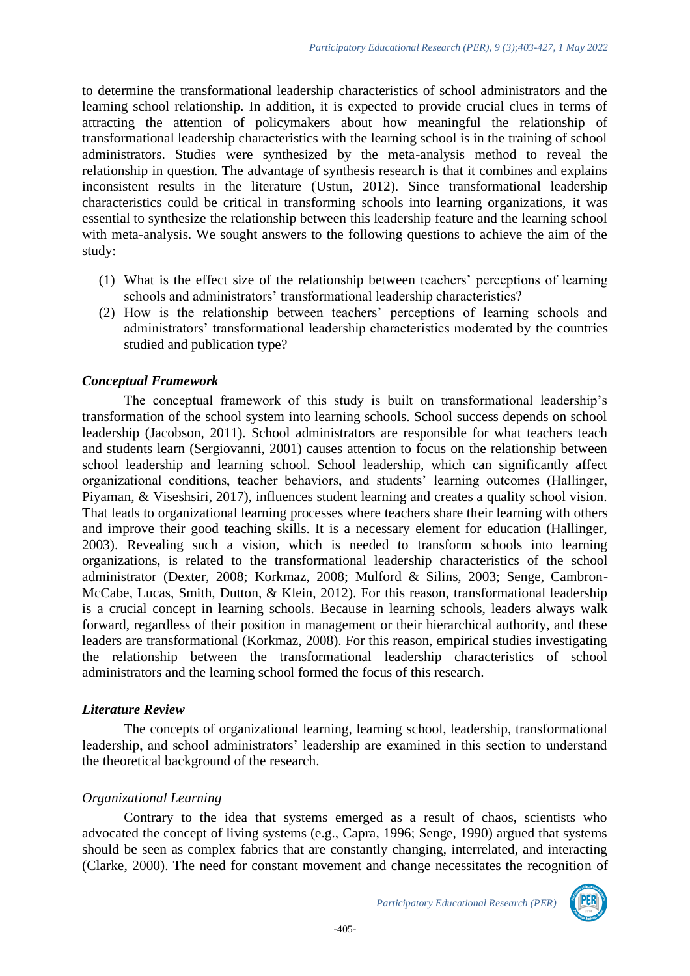to determine the transformational leadership characteristics of school administrators and the learning school relationship. In addition, it is expected to provide crucial clues in terms of attracting the attention of policymakers about how meaningful the relationship of transformational leadership characteristics with the learning school is in the training of school administrators. Studies were synthesized by the meta-analysis method to reveal the relationship in question. The advantage of synthesis research is that it combines and explains inconsistent results in the literature (Ustun, 2012). Since transformational leadership characteristics could be critical in transforming schools into learning organizations, it was essential to synthesize the relationship between this leadership feature and the learning school with meta-analysis. We sought answers to the following questions to achieve the aim of the study:

- (1) What is the effect size of the relationship between teachers' perceptions of learning schools and administrators' transformational leadership characteristics?
- (2) How is the relationship between teachers' perceptions of learning schools and administrators' transformational leadership characteristics moderated by the countries studied and publication type?

# *Conceptual Framework*

The conceptual framework of this study is built on transformational leadership's transformation of the school system into learning schools. School success depends on school leadership (Jacobson, 2011). School administrators are responsible for what teachers teach and students learn (Sergiovanni, 2001) causes attention to focus on the relationship between school leadership and learning school. School leadership, which can significantly affect organizational conditions, teacher behaviors, and students' learning outcomes (Hallinger, Piyaman, & Viseshsiri, 2017), influences student learning and creates a quality school vision. That leads to organizational learning processes where teachers share their learning with others and improve their good teaching skills. It is a necessary element for education (Hallinger, 2003). Revealing such a vision, which is needed to transform schools into learning organizations, is related to the transformational leadership characteristics of the school administrator (Dexter, 2008; Korkmaz, 2008; Mulford & Silins, 2003; Senge, Cambron-McCabe, Lucas, Smith, Dutton, & Klein, 2012). For this reason, transformational leadership is a crucial concept in learning schools. Because in learning schools, leaders always walk forward, regardless of their position in management or their hierarchical authority, and these leaders are transformational (Korkmaz, 2008). For this reason, empirical studies investigating the relationship between the transformational leadership characteristics of school administrators and the learning school formed the focus of this research.

#### *Literature Review*

The concepts of organizational learning, learning school, leadership, transformational leadership, and school administrators' leadership are examined in this section to understand the theoretical background of the research.

#### *Organizational Learning*

Contrary to the idea that systems emerged as a result of chaos, scientists who advocated the concept of living systems (e.g., Capra, 1996; Senge, 1990) argued that systems should be seen as complex fabrics that are constantly changing, interrelated, and interacting (Clarke, 2000). The need for constant movement and change necessitates the recognition of

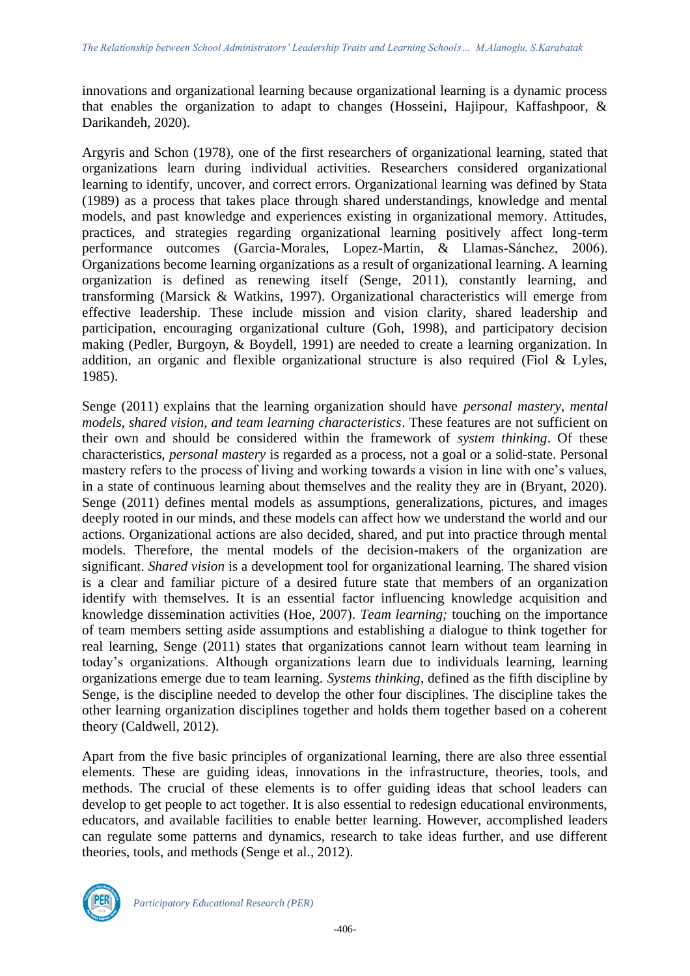innovations and organizational learning because organizational learning is a dynamic process that enables the organization to adapt to changes (Hosseini, Hajipour, Kaffashpoor, & Darikandeh, 2020).

Argyris and Schon (1978), one of the first researchers of organizational learning, stated that organizations learn during individual activities. Researchers considered organizational learning to identify, uncover, and correct errors. Organizational learning was defined by Stata (1989) as a process that takes place through shared understandings, knowledge and mental models, and past knowledge and experiences existing in organizational memory. Attitudes, practices, and strategies regarding organizational learning positively affect long-term performance outcomes (Garcia-Morales, Lopez-Martin, & Llamas-Sánchez, 2006). Organizations become learning organizations as a result of organizational learning. A learning organization is defined as renewing itself (Senge, 2011), constantly learning, and transforming (Marsick & Watkins, 1997). Organizational characteristics will emerge from effective leadership. These include mission and vision clarity, shared leadership and participation, encouraging organizational culture (Goh, 1998), and participatory decision making (Pedler, Burgoyn, & Boydell, 1991) are needed to create a learning organization. In addition, an organic and flexible organizational structure is also required (Fiol & Lyles, 1985).

Senge (2011) explains that the learning organization should have *personal mastery, mental models, shared vision, and team learning characteristics*. These features are not sufficient on their own and should be considered within the framework of *system thinking*. Of these characteristics, *personal mastery* is regarded as a process, not a goal or a solid-state. Personal mastery refers to the process of living and working towards a vision in line with one's values, in a state of continuous learning about themselves and the reality they are in (Bryant, 2020). Senge (2011) defines mental models as assumptions, generalizations, pictures, and images deeply rooted in our minds, and these models can affect how we understand the world and our actions. Organizational actions are also decided, shared, and put into practice through mental models. Therefore, the mental models of the decision-makers of the organization are significant. *Shared vision* is a development tool for organizational learning. The shared vision is a clear and familiar picture of a desired future state that members of an organization identify with themselves. It is an essential factor influencing knowledge acquisition and knowledge dissemination activities (Hoe, 2007). *Team learning;* touching on the importance of team members setting aside assumptions and establishing a dialogue to think together for real learning, Senge (2011) states that organizations cannot learn without team learning in today's organizations. Although organizations learn due to individuals learning, learning organizations emerge due to team learning. *Systems thinking*, defined as the fifth discipline by Senge, is the discipline needed to develop the other four disciplines. The discipline takes the other learning organization disciplines together and holds them together based on a coherent theory (Caldwell, 2012).

Apart from the five basic principles of organizational learning, there are also three essential elements. These are guiding ideas, innovations in the infrastructure, theories, tools, and methods. The crucial of these elements is to offer guiding ideas that school leaders can develop to get people to act together. It is also essential to redesign educational environments, educators, and available facilities to enable better learning. However, accomplished leaders can regulate some patterns and dynamics, research to take ideas further, and use different theories, tools, and methods (Senge et al., 2012).

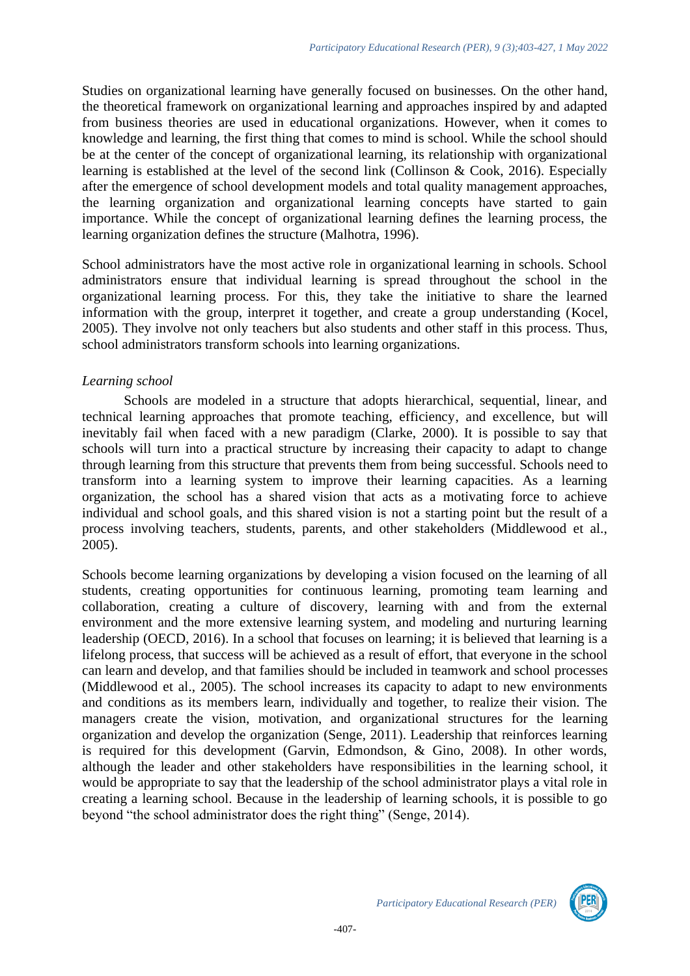Studies on organizational learning have generally focused on businesses. On the other hand, the theoretical framework on organizational learning and approaches inspired by and adapted from business theories are used in educational organizations. However, when it comes to knowledge and learning, the first thing that comes to mind is school. While the school should be at the center of the concept of organizational learning, its relationship with organizational learning is established at the level of the second link (Collinson & Cook, 2016). Especially after the emergence of school development models and total quality management approaches, the learning organization and organizational learning concepts have started to gain importance. While the concept of organizational learning defines the learning process, the learning organization defines the structure (Malhotra, 1996).

School administrators have the most active role in organizational learning in schools. School administrators ensure that individual learning is spread throughout the school in the organizational learning process. For this, they take the initiative to share the learned information with the group, interpret it together, and create a group understanding (Kocel, 2005). They involve not only teachers but also students and other staff in this process. Thus, school administrators transform schools into learning organizations.

# *Learning school*

Schools are modeled in a structure that adopts hierarchical, sequential, linear, and technical learning approaches that promote teaching, efficiency, and excellence, but will inevitably fail when faced with a new paradigm (Clarke, 2000). It is possible to say that schools will turn into a practical structure by increasing their capacity to adapt to change through learning from this structure that prevents them from being successful. Schools need to transform into a learning system to improve their learning capacities. As a learning organization, the school has a shared vision that acts as a motivating force to achieve individual and school goals, and this shared vision is not a starting point but the result of a process involving teachers, students, parents, and other stakeholders (Middlewood et al., 2005).

Schools become learning organizations by developing a vision focused on the learning of all students, creating opportunities for continuous learning, promoting team learning and collaboration, creating a culture of discovery, learning with and from the external environment and the more extensive learning system, and modeling and nurturing learning leadership (OECD, 2016). In a school that focuses on learning; it is believed that learning is a lifelong process, that success will be achieved as a result of effort, that everyone in the school can learn and develop, and that families should be included in teamwork and school processes (Middlewood et al., 2005). The school increases its capacity to adapt to new environments and conditions as its members learn, individually and together, to realize their vision. The managers create the vision, motivation, and organizational structures for the learning organization and develop the organization (Senge, 2011). Leadership that reinforces learning is required for this development (Garvin, Edmondson, & Gino, 2008). In other words, although the leader and other stakeholders have responsibilities in the learning school, it would be appropriate to say that the leadership of the school administrator plays a vital role in creating a learning school. Because in the leadership of learning schools, it is possible to go beyond "the school administrator does the right thing" (Senge, 2014).

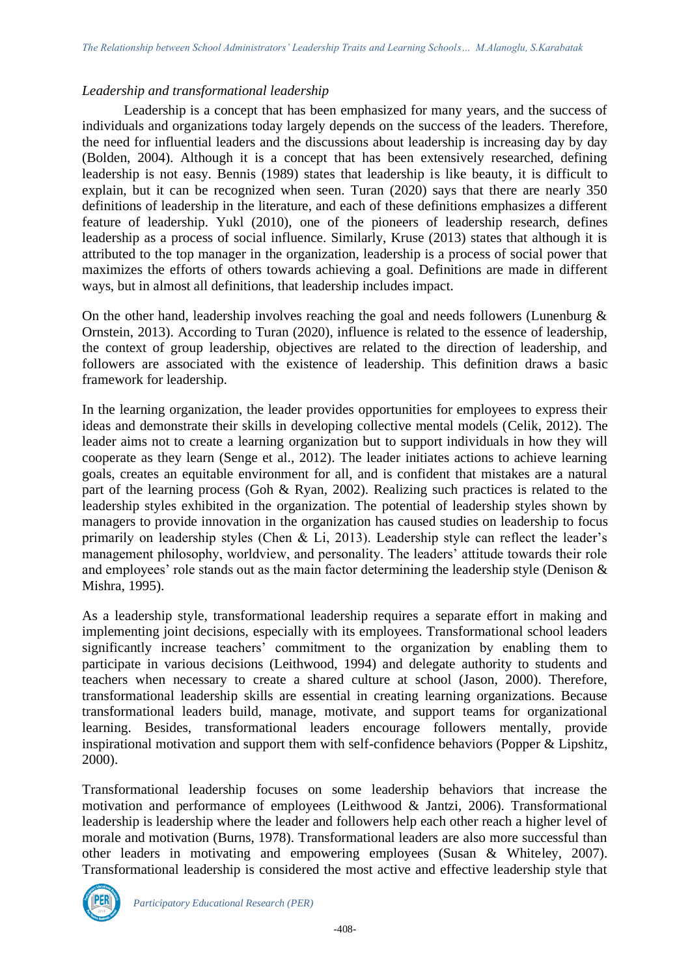### *Leadership and transformational leadership*

Leadership is a concept that has been emphasized for many years, and the success of individuals and organizations today largely depends on the success of the leaders. Therefore, the need for influential leaders and the discussions about leadership is increasing day by day (Bolden, 2004). Although it is a concept that has been extensively researched, defining leadership is not easy. Bennis (1989) states that leadership is like beauty, it is difficult to explain, but it can be recognized when seen. Turan (2020) says that there are nearly 350 definitions of leadership in the literature, and each of these definitions emphasizes a different feature of leadership. Yukl (2010), one of the pioneers of leadership research, defines leadership as a process of social influence. Similarly, Kruse (2013) states that although it is attributed to the top manager in the organization, leadership is a process of social power that maximizes the efforts of others towards achieving a goal. Definitions are made in different ways, but in almost all definitions, that leadership includes impact.

On the other hand, leadership involves reaching the goal and needs followers (Lunenburg & Ornstein, 2013). According to Turan (2020), influence is related to the essence of leadership, the context of group leadership, objectives are related to the direction of leadership, and followers are associated with the existence of leadership. This definition draws a basic framework for leadership.

In the learning organization, the leader provides opportunities for employees to express their ideas and demonstrate their skills in developing collective mental models (Celik, 2012). The leader aims not to create a learning organization but to support individuals in how they will cooperate as they learn (Senge et al., 2012). The leader initiates actions to achieve learning goals, creates an equitable environment for all, and is confident that mistakes are a natural part of the learning process (Goh & Ryan, 2002). Realizing such practices is related to the leadership styles exhibited in the organization. The potential of leadership styles shown by managers to provide innovation in the organization has caused studies on leadership to focus primarily on leadership styles (Chen & Li, 2013). Leadership style can reflect the leader's management philosophy, worldview, and personality. The leaders' attitude towards their role and employees' role stands out as the main factor determining the leadership style (Denison & Mishra, 1995).

As a leadership style, transformational leadership requires a separate effort in making and implementing joint decisions, especially with its employees. Transformational school leaders significantly increase teachers' commitment to the organization by enabling them to participate in various decisions (Leithwood, 1994) and delegate authority to students and teachers when necessary to create a shared culture at school (Jason, 2000). Therefore, transformational leadership skills are essential in creating learning organizations. Because transformational leaders build, manage, motivate, and support teams for organizational learning. Besides, transformational leaders encourage followers mentally, provide inspirational motivation and support them with self-confidence behaviors (Popper & Lipshitz, 2000).

Transformational leadership focuses on some leadership behaviors that increase the motivation and performance of employees (Leithwood & Jantzi, 2006). Transformational leadership is leadership where the leader and followers help each other reach a higher level of morale and motivation (Burns, 1978). Transformational leaders are also more successful than other leaders in motivating and empowering employees (Susan & Whiteley, 2007). Transformational leadership is considered the most active and effective leadership style that

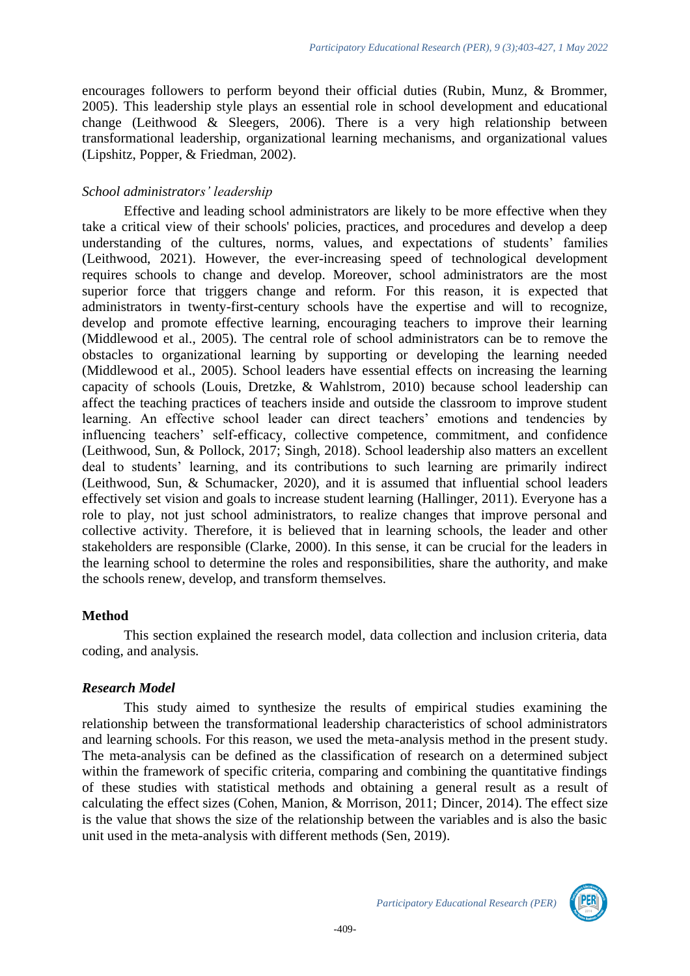encourages followers to perform beyond their official duties (Rubin, Munz, & Brommer, 2005). This leadership style plays an essential role in school development and educational change (Leithwood & Sleegers, 2006). There is a very high relationship between transformational leadership, organizational learning mechanisms, and organizational values (Lipshitz, Popper, & Friedman, 2002).

# *School administrators' leadership*

Effective and leading school administrators are likely to be more effective when they take a critical view of their schools' policies, practices, and procedures and develop a deep understanding of the cultures, norms, values, and expectations of students' families (Leithwood, 2021). However, the ever-increasing speed of technological development requires schools to change and develop. Moreover, school administrators are the most superior force that triggers change and reform. For this reason, it is expected that administrators in twenty-first-century schools have the expertise and will to recognize, develop and promote effective learning, encouraging teachers to improve their learning (Middlewood et al., 2005). The central role of school administrators can be to remove the obstacles to organizational learning by supporting or developing the learning needed (Middlewood et al., 2005). School leaders have essential effects on increasing the learning capacity of schools (Louis, Dretzke, & Wahlstrom, 2010) because school leadership can affect the teaching practices of teachers inside and outside the classroom to improve student learning. An effective school leader can direct teachers' emotions and tendencies by influencing teachers' self-efficacy, collective competence, commitment, and confidence (Leithwood, Sun, & Pollock, 2017; Singh, 2018). School leadership also matters an excellent deal to students' learning, and its contributions to such learning are primarily indirect (Leithwood, Sun, & Schumacker, 2020), and it is assumed that influential school leaders effectively set vision and goals to increase student learning (Hallinger, 2011). Everyone has a role to play, not just school administrators, to realize changes that improve personal and collective activity. Therefore, it is believed that in learning schools, the leader and other stakeholders are responsible (Clarke, 2000). In this sense, it can be crucial for the leaders in the learning school to determine the roles and responsibilities, share the authority, and make the schools renew, develop, and transform themselves.

# **Method**

This section explained the research model, data collection and inclusion criteria, data coding, and analysis.

# *Research Model*

This study aimed to synthesize the results of empirical studies examining the relationship between the transformational leadership characteristics of school administrators and learning schools. For this reason, we used the meta-analysis method in the present study. The meta-analysis can be defined as the classification of research on a determined subject within the framework of specific criteria, comparing and combining the quantitative findings of these studies with statistical methods and obtaining a general result as a result of calculating the effect sizes (Cohen, Manion, & Morrison, 2011; Dincer, 2014). The effect size is the value that shows the size of the relationship between the variables and is also the basic unit used in the meta-analysis with different methods (Sen, 2019).

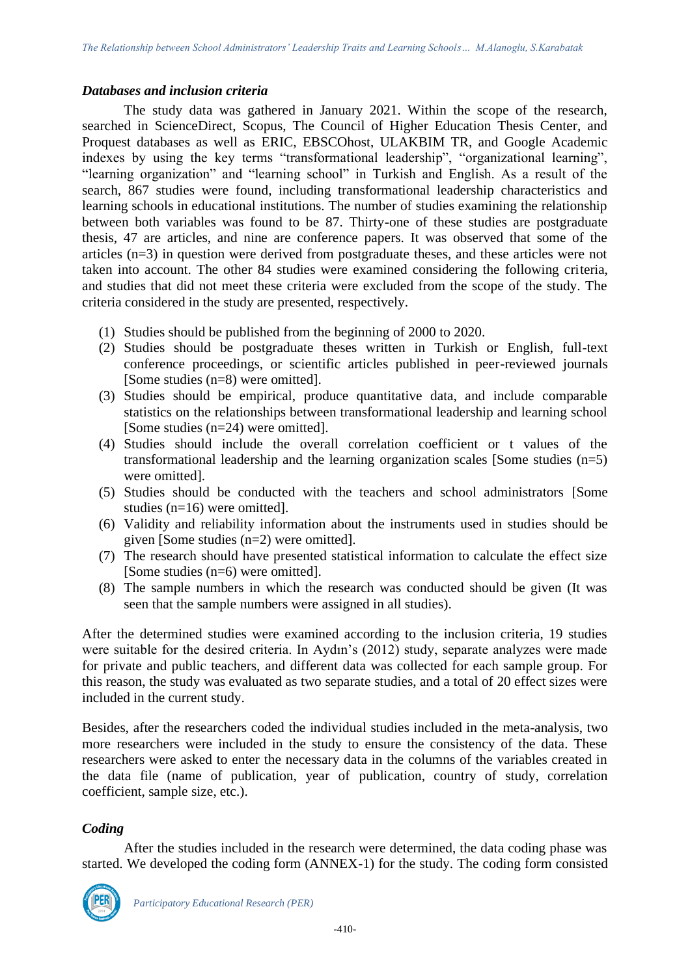#### *Databases and inclusion criteria*

The study data was gathered in January 2021. Within the scope of the research, searched in ScienceDirect, Scopus, The Council of Higher Education Thesis Center, and Proquest databases as well as ERIC, EBSCOhost, ULAKBIM TR, and Google Academic indexes by using the key terms "transformational leadership", "organizational learning", "learning organization" and "learning school" in Turkish and English. As a result of the search, 867 studies were found, including transformational leadership characteristics and learning schools in educational institutions. The number of studies examining the relationship between both variables was found to be 87. Thirty-one of these studies are postgraduate thesis, 47 are articles, and nine are conference papers. It was observed that some of the articles (n=3) in question were derived from postgraduate theses, and these articles were not taken into account. The other 84 studies were examined considering the following criteria, and studies that did not meet these criteria were excluded from the scope of the study. The criteria considered in the study are presented, respectively.

- (1) Studies should be published from the beginning of 2000 to 2020.
- (2) Studies should be postgraduate theses written in Turkish or English, full-text conference proceedings, or scientific articles published in peer-reviewed journals [Some studies (n=8) were omitted].
- (3) Studies should be empirical, produce quantitative data, and include comparable statistics on the relationships between transformational leadership and learning school [Some studies  $(n=24)$  were omitted].
- (4) Studies should include the overall correlation coefficient or t values of the transformational leadership and the learning organization scales [Some studies (n=5) were omitted].
- (5) Studies should be conducted with the teachers and school administrators [Some studies (n=16) were omitted].
- (6) Validity and reliability information about the instruments used in studies should be given [Some studies (n=2) were omitted].
- (7) The research should have presented statistical information to calculate the effect size [Some studies (n=6) were omitted].
- (8) The sample numbers in which the research was conducted should be given (It was seen that the sample numbers were assigned in all studies).

After the determined studies were examined according to the inclusion criteria, 19 studies were suitable for the desired criteria. In Aydın's (2012) study, separate analyzes were made for private and public teachers, and different data was collected for each sample group. For this reason, the study was evaluated as two separate studies, and a total of 20 effect sizes were included in the current study.

Besides, after the researchers coded the individual studies included in the meta-analysis, two more researchers were included in the study to ensure the consistency of the data. These researchers were asked to enter the necessary data in the columns of the variables created in the data file (name of publication, year of publication, country of study, correlation coefficient, sample size, etc.).

#### *Coding*

After the studies included in the research were determined, the data coding phase was started. We developed the coding form (ANNEX-1) for the study. The coding form consisted

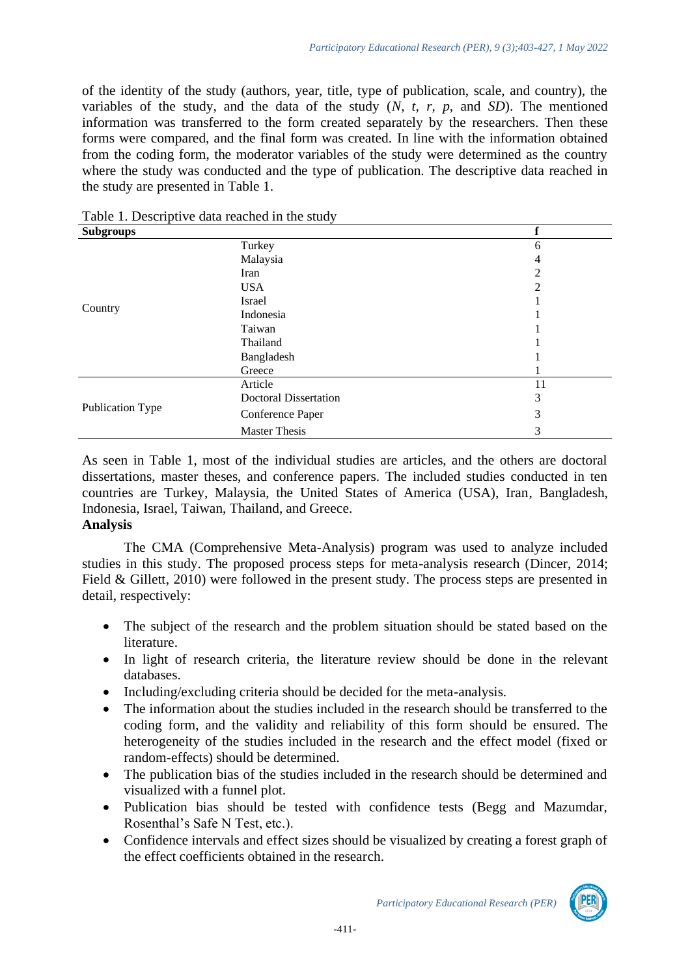of the identity of the study (authors, year, title, type of publication, scale, and country), the variables of the study, and the data of the study (*N, t, r, p,* and *SD*). The mentioned information was transferred to the form created separately by the researchers. Then these forms were compared, and the final form was created. In line with the information obtained from the coding form, the moderator variables of the study were determined as the country where the study was conducted and the type of publication. The descriptive data reached in the study are presented in Table 1.

| <b>Subgroups</b> |                              |    |
|------------------|------------------------------|----|
|                  | Turkey                       | 6  |
|                  | Malaysia                     | 4  |
|                  | Iran                         | 2  |
|                  | <b>USA</b>                   | 2  |
|                  | Israel                       |    |
| Country          | Indonesia                    |    |
|                  | Taiwan                       |    |
|                  | Thailand                     |    |
|                  | Bangladesh                   |    |
|                  | Greece                       |    |
|                  | Article                      | 11 |
|                  | <b>Doctoral Dissertation</b> | 3  |
| Publication Type | Conference Paper             | 3  |
|                  | <b>Master Thesis</b>         | 3  |

Table 1. Descriptive data reached in the study

As seen in Table 1, most of the individual studies are articles, and the others are doctoral dissertations, master theses, and conference papers. The included studies conducted in ten countries are Turkey, Malaysia, the United States of America (USA), Iran, Bangladesh, Indonesia, Israel, Taiwan, Thailand, and Greece.

#### **Analysis**

The CMA (Comprehensive Meta-Analysis) program was used to analyze included studies in this study. The proposed process steps for meta-analysis research (Dincer, 2014; Field & Gillett, 2010) were followed in the present study. The process steps are presented in detail, respectively:

- The subject of the research and the problem situation should be stated based on the literature.
- In light of research criteria, the literature review should be done in the relevant databases.
- Including/excluding criteria should be decided for the meta-analysis.
- The information about the studies included in the research should be transferred to the coding form, and the validity and reliability of this form should be ensured. The heterogeneity of the studies included in the research and the effect model (fixed or random-effects) should be determined.
- The publication bias of the studies included in the research should be determined and visualized with a funnel plot.
- Publication bias should be tested with confidence tests (Begg and Mazumdar, Rosenthal's Safe N Test, etc.).
- Confidence intervals and effect sizes should be visualized by creating a forest graph of the effect coefficients obtained in the research.

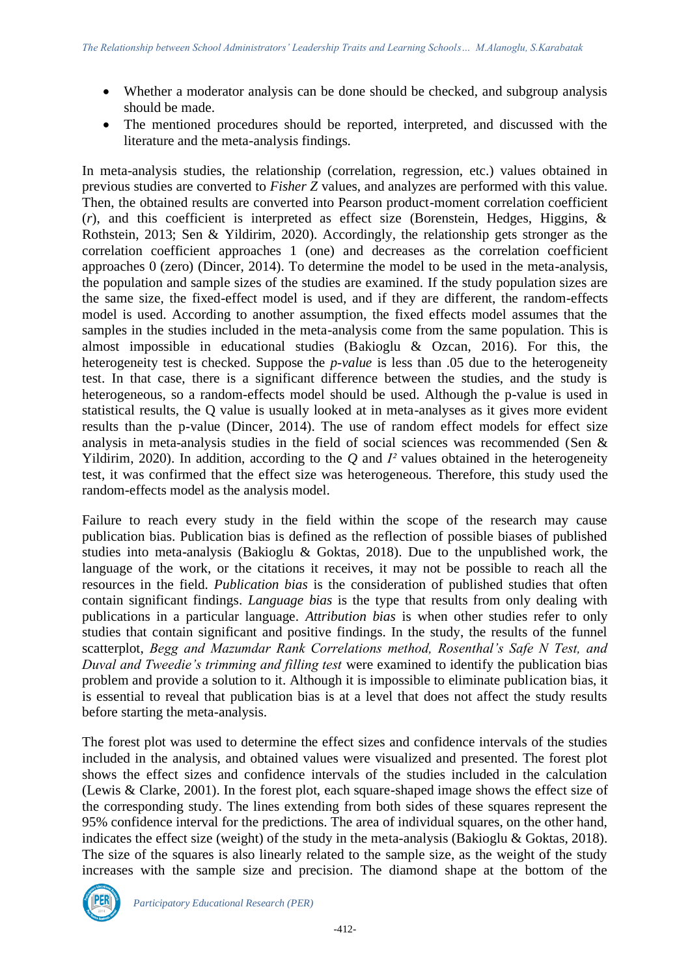- Whether a moderator analysis can be done should be checked, and subgroup analysis should be made.
- The mentioned procedures should be reported, interpreted, and discussed with the literature and the meta-analysis findings.

In meta-analysis studies, the relationship (correlation, regression, etc.) values obtained in previous studies are converted to *Fisher Z* values, and analyzes are performed with this value. Then, the obtained results are converted into Pearson product-moment correlation coefficient (*r*), and this coefficient is interpreted as effect size (Borenstein, Hedges, Higgins, & Rothstein, 2013; Sen & Yildirim, 2020). Accordingly, the relationship gets stronger as the correlation coefficient approaches 1 (one) and decreases as the correlation coefficient approaches 0 (zero) (Dincer, 2014). To determine the model to be used in the meta-analysis, the population and sample sizes of the studies are examined. If the study population sizes are the same size, the fixed-effect model is used, and if they are different, the random-effects model is used. According to another assumption, the fixed effects model assumes that the samples in the studies included in the meta-analysis come from the same population. This is almost impossible in educational studies (Bakioglu & Ozcan, 2016). For this, the heterogeneity test is checked. Suppose the *p-value* is less than .05 due to the heterogeneity test. In that case, there is a significant difference between the studies, and the study is heterogeneous, so a random-effects model should be used. Although the p-value is used in statistical results, the Q value is usually looked at in meta-analyses as it gives more evident results than the p-value (Dincer, 2014). The use of random effect models for effect size analysis in meta-analysis studies in the field of social sciences was recommended (Sen & Yildirim, 2020). In addition, according to the *Q* and *I²* values obtained in the heterogeneity test, it was confirmed that the effect size was heterogeneous. Therefore, this study used the random-effects model as the analysis model.

Failure to reach every study in the field within the scope of the research may cause publication bias. Publication bias is defined as the reflection of possible biases of published studies into meta-analysis (Bakioglu & Goktas, 2018). Due to the unpublished work, the language of the work, or the citations it receives, it may not be possible to reach all the resources in the field. *Publication bias* is the consideration of published studies that often contain significant findings. *Language bias* is the type that results from only dealing with publications in a particular language. *Attribution bias* is when other studies refer to only studies that contain significant and positive findings. In the study, the results of the funnel scatterplot, *Begg and Mazumdar Rank Correlations method, Rosenthal's Safe N Test, and Duval and Tweedie's trimming and filling test* were examined to identify the publication bias problem and provide a solution to it. Although it is impossible to eliminate publication bias, it is essential to reveal that publication bias is at a level that does not affect the study results before starting the meta-analysis.

The forest plot was used to determine the effect sizes and confidence intervals of the studies included in the analysis, and obtained values were visualized and presented. The forest plot shows the effect sizes and confidence intervals of the studies included in the calculation (Lewis & Clarke, 2001). In the forest plot, each square-shaped image shows the effect size of the corresponding study. The lines extending from both sides of these squares represent the 95% confidence interval for the predictions. The area of individual squares, on the other hand, indicates the effect size (weight) of the study in the meta-analysis (Bakioglu & Goktas, 2018). The size of the squares is also linearly related to the sample size, as the weight of the study increases with the sample size and precision. The diamond shape at the bottom of the

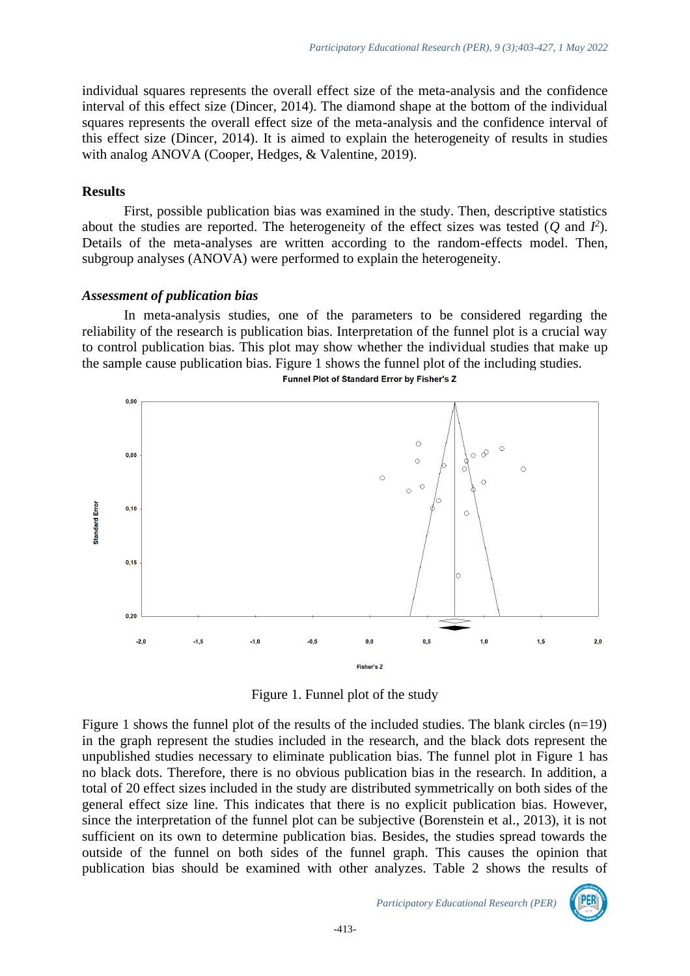individual squares represents the overall effect size of the meta-analysis and the confidence interval of this effect size (Dincer, 2014). The diamond shape at the bottom of the individual squares represents the overall effect size of the meta-analysis and the confidence interval of this effect size (Dincer, 2014). It is aimed to explain the heterogeneity of results in studies with analog ANOVA (Cooper, Hedges, & Valentine, 2019).

#### **Results**

First, possible publication bias was examined in the study. Then, descriptive statistics about the studies are reported. The heterogeneity of the effect sizes was tested  $(Q \text{ and } I^2)$ . Details of the meta-analyses are written according to the random-effects model. Then, subgroup analyses (ANOVA) were performed to explain the heterogeneity.

# *Assessment of publication bias*

In meta-analysis studies, one of the parameters to be considered regarding the reliability of the research is publication bias. Interpretation of the funnel plot is a crucial way to control publication bias. This plot may show whether the individual studies that make up the sample cause publication bias. Figure 1 shows the funnel plot of the including studies. Funnel Plot of Standard Error by Fisher's Z



Figure 1. Funnel plot of the study

Figure 1 shows the funnel plot of the results of the included studies. The blank circles  $(n=19)$ in the graph represent the studies included in the research, and the black dots represent the unpublished studies necessary to eliminate publication bias. The funnel plot in Figure 1 has no black dots. Therefore, there is no obvious publication bias in the research. In addition, a total of 20 effect sizes included in the study are distributed symmetrically on both sides of the general effect size line. This indicates that there is no explicit publication bias. However, since the interpretation of the funnel plot can be subjective (Borenstein et al., 2013), it is not sufficient on its own to determine publication bias. Besides, the studies spread towards the outside of the funnel on both sides of the funnel graph. This causes the opinion that publication bias should be examined with other analyzes. Table 2 shows the results of

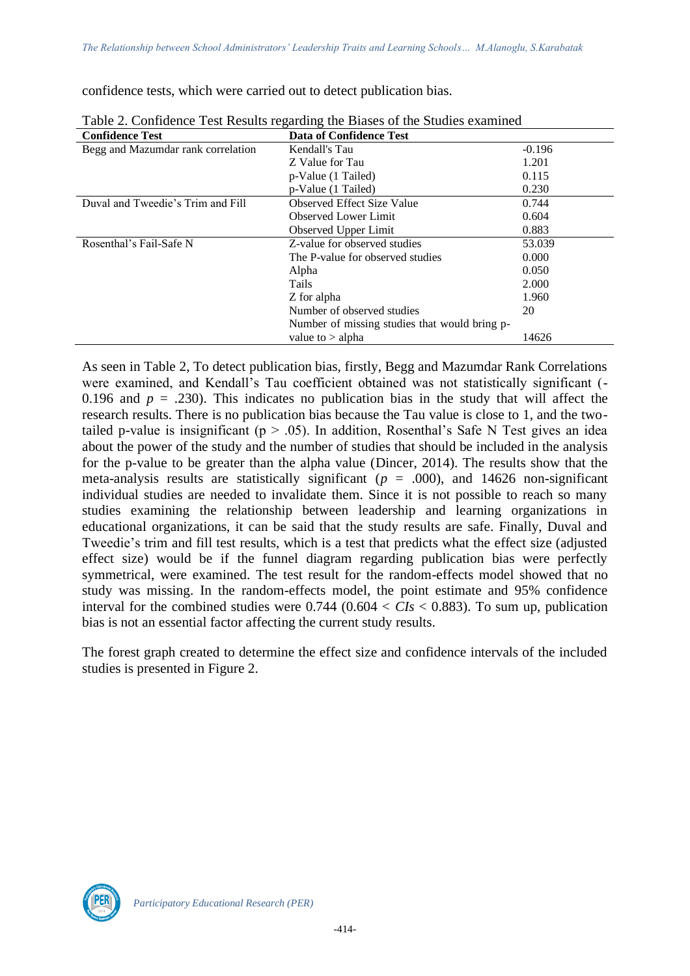confidence tests, which were carried out to detect publication bias.

| <b>Confidence Test</b>             | <b>Data of Confidence Test</b>                |          |  |  |  |  |  |
|------------------------------------|-----------------------------------------------|----------|--|--|--|--|--|
| Begg and Mazumdar rank correlation | Kendall's Tau                                 | $-0.196$ |  |  |  |  |  |
|                                    | Z Value for Tau                               | 1.201    |  |  |  |  |  |
|                                    | p-Value (1 Tailed)                            | 0.115    |  |  |  |  |  |
|                                    | p-Value (1 Tailed)                            | 0.230    |  |  |  |  |  |
| Duval and Tweedie's Trim and Fill  | <b>Observed Effect Size Value</b>             | 0.744    |  |  |  |  |  |
|                                    | <b>Observed Lower Limit</b>                   | 0.604    |  |  |  |  |  |
|                                    | Observed Upper Limit                          | 0.883    |  |  |  |  |  |
| Rosenthal's Fail-Safe N            | Z-value for observed studies                  | 53.039   |  |  |  |  |  |
|                                    | The P-value for observed studies              | 0.000    |  |  |  |  |  |
|                                    | Alpha                                         | 0.050    |  |  |  |  |  |
|                                    | <b>Tails</b>                                  | 2.000    |  |  |  |  |  |
|                                    | Z for alpha                                   | 1.960    |  |  |  |  |  |
|                                    | Number of observed studies                    | 20       |  |  |  |  |  |
|                                    | Number of missing studies that would bring p- |          |  |  |  |  |  |
|                                    | value to $>$ alpha                            | 14626    |  |  |  |  |  |

Table 2. Confidence Test Results regarding the Biases of the Studies examined

As seen in Table 2, To detect publication bias, firstly, Begg and Mazumdar Rank Correlations were examined, and Kendall's Tau coefficient obtained was not statistically significant (- 0.196 and  $p = .230$ ). This indicates no publication bias in the study that will affect the research results. There is no publication bias because the Tau value is close to 1, and the twotailed p-value is insignificant ( $p > .05$ ). In addition, Rosenthal's Safe N Test gives an idea about the power of the study and the number of studies that should be included in the analysis for the p-value to be greater than the alpha value (Dincer, 2014). The results show that the meta-analysis results are statistically significant ( $p = .000$ ), and 14626 non-significant individual studies are needed to invalidate them. Since it is not possible to reach so many studies examining the relationship between leadership and learning organizations in educational organizations, it can be said that the study results are safe. Finally, Duval and Tweedie's trim and fill test results, which is a test that predicts what the effect size (adjusted effect size) would be if the funnel diagram regarding publication bias were perfectly symmetrical, were examined. The test result for the random-effects model showed that no study was missing. In the random-effects model, the point estimate and 95% confidence interval for the combined studies were  $0.744$  ( $0.604 < CIs < 0.883$ ). To sum up, publication bias is not an essential factor affecting the current study results.

The forest graph created to determine the effect size and confidence intervals of the included studies is presented in Figure 2.

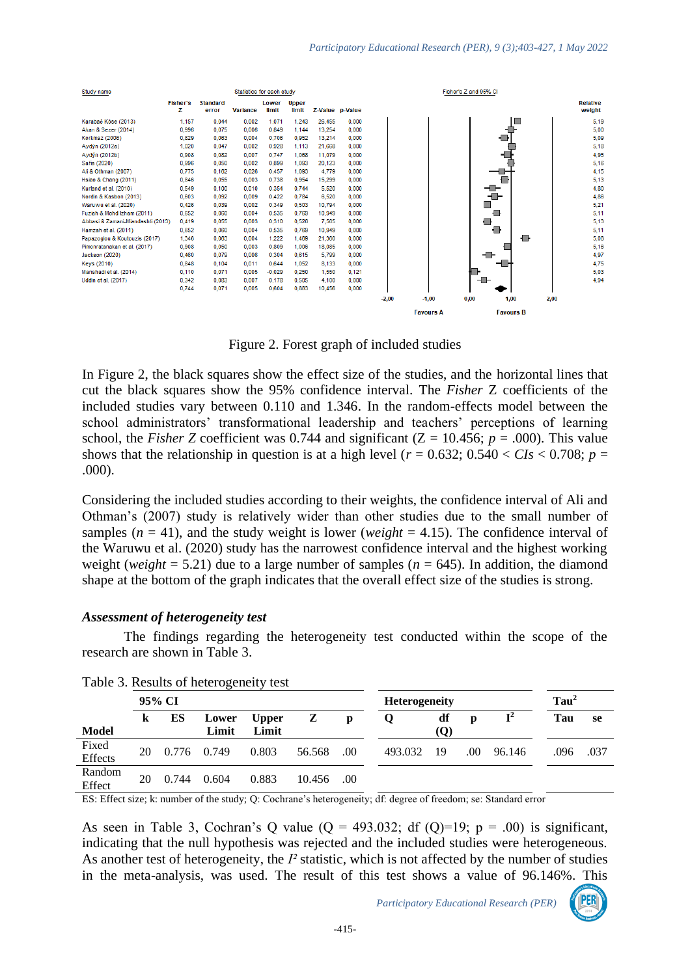

Figure 2. Forest graph of included studies

In Figure 2, the black squares show the effect size of the studies, and the horizontal lines that cut the black squares show the 95% confidence interval. The *Fisher* Z coefficients of the included studies vary between 0.110 and 1.346. In the random-effects model between the school administrators' transformational leadership and teachers' perceptions of learning school, the *Fisher Z* coefficient was 0.744 and significant ( $Z = 10.456$ ;  $p = .000$ ). This value shows that the relationship in question is at a high level ( $r = 0.632$ ;  $0.540 < CIs < 0.708$ ;  $p =$ .000).

Considering the included studies according to their weights, the confidence interval of Ali and Othman's (2007) study is relatively wider than other studies due to the small number of samples  $(n = 41)$ , and the study weight is lower (*weight* = 4.15). The confidence interval of the Waruwu et al. (2020) study has the narrowest confidence interval and the highest working weight (*weight* = 5.21) due to a large number of samples ( $n = 645$ ). In addition, the diamond shape at the bottom of the graph indicates that the overall effect size of the studies is strong.

#### *Assessment of heterogeneity test*

The findings regarding the heterogeneity test conducted within the scope of the research are shown in Table 3.

| radio di Rosalis di Ilettrogeneity test |    |        |                |                       |        |      |                      |           |     |                |                  |      |
|-----------------------------------------|----|--------|----------------|-----------------------|--------|------|----------------------|-----------|-----|----------------|------------------|------|
|                                         |    | 95% CI |                |                       |        |      | <b>Heterogeneity</b> |           |     |                | Tau <sup>2</sup> |      |
| <b>Model</b>                            | k  | ES     | Lower<br>Limit | <b>Upper</b><br>Limit | Z      | p    |                      | df<br>(O) | D   | $\mathbf{I}^2$ | Tau              | se   |
| Fixed<br><b>Effects</b>                 | 20 | 0.776  | 0.749          | 0.803                 | 56.568 | .00. | 493.032              | -19       | .00 | 96.146         | .096             | .037 |
| Random<br>Effect                        | 20 | 0.744  | 0.604          | 0.883                 | 10.456 | .00  |                      |           |     |                |                  |      |



ES: Effect size; k: number of the study; Q: Cochrane's heterogeneity; df: degree of freedom; se: Standard error

As seen in Table 3, Cochran's Q value ( $Q = 493.032$ ; df ( $Q=19$ ;  $p = .00$ ) is significant, indicating that the null hypothesis was rejected and the included studies were heterogeneous. As another test of heterogeneity, the *I²* statistic, which is not affected by the number of studies in the meta-analysis, was used. The result of this test shows a value of 96.146%. This

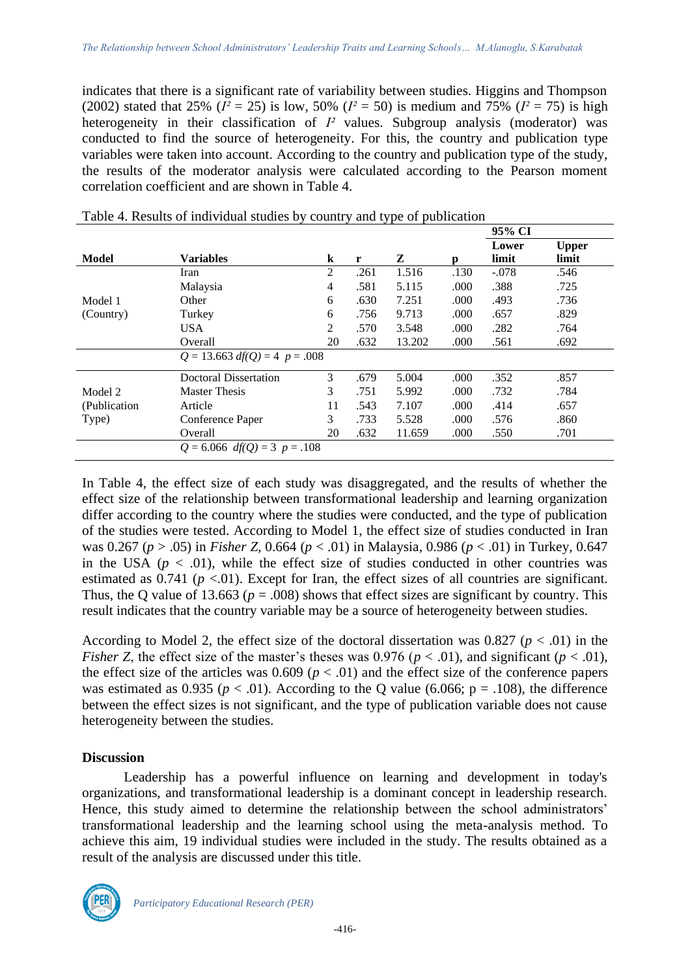indicates that there is a significant rate of variability between studies. Higgins and Thompson (2002) stated that 25% ( $I^2 = 25$ ) is low, 50% ( $I^2 = 50$ ) is medium and 75% ( $I^2 = 75$ ) is high heterogeneity in their classification of *I²* values. Subgroup analysis (moderator) was conducted to find the source of heterogeneity. For this, the country and publication type variables were taken into account. According to the country and publication type of the study, the results of the moderator analysis were calculated according to the Pearson moment correlation coefficient and are shown in Table 4.

|               |                                 |         |      |        |      | 95% CI         |                       |
|---------------|---------------------------------|---------|------|--------|------|----------------|-----------------------|
| Model         | <b>Variables</b>                | $\bf k$ | r    | Z      | D    | Lower<br>limit | <b>Upper</b><br>limit |
|               | Iran                            | 2       | .261 | 1.516  | .130 | $-.078$        | .546                  |
|               | Malaysia                        | 4       | .581 | 5.115  | .000 | .388           | .725                  |
| Model 1       | Other                           | 6       | .630 | 7.251  | .000 | .493           | .736                  |
| (Country)     | Turkey                          | 6       | .756 | 9.713  | .000 | .657           | .829                  |
|               | <b>USA</b>                      | 2       | .570 | 3.548  | .000 | .282           | .764                  |
|               | Overall                         | 20      | .632 | 13.202 | .000 | .561           | .692                  |
|               | $Q = 13.663$ df(Q) = 4 p = .008 |         |      |        |      |                |                       |
|               | <b>Doctoral Dissertation</b>    | 3       | .679 | 5.004  | .000 | .352           | .857                  |
| Model 2       | <b>Master Thesis</b>            | 3       | .751 | 5.992  | .000 | .732           | .784                  |
| (Publication) | Article                         | 11      | .543 | 7.107  | .000 | .414           | .657                  |
| Type)         | Conference Paper                | 3       | .733 | 5.528  | .000 | .576           | .860                  |
|               | Overall                         | 20      | .632 | 11.659 | .000 | .550           | .701                  |
|               | $Q = 6.066$ df(Q) = 3 p = .108  |         |      |        |      |                |                       |

|  |  | Table 4. Results of individual studies by country and type of publication |
|--|--|---------------------------------------------------------------------------|
|  |  |                                                                           |
|  |  |                                                                           |

In Table 4, the effect size of each study was disaggregated, and the results of whether the effect size of the relationship between transformational leadership and learning organization differ according to the country where the studies were conducted, and the type of publication of the studies were tested. According to Model 1, the effect size of studies conducted in Iran was 0.267 (*p* > .05) in *Fisher Z*, 0.664 (*p* < .01) in Malaysia, 0.986 (*p* < .01) in Turkey, 0.647 in the USA  $(p < .01)$ , while the effect size of studies conducted in other countries was estimated as  $0.741$  ( $p < 01$ ). Except for Iran, the effect sizes of all countries are significant. Thus, the Q value of 13.663 ( $p = .008$ ) shows that effect sizes are significant by country. This result indicates that the country variable may be a source of heterogeneity between studies.

According to Model 2, the effect size of the doctoral dissertation was 0.827 ( $p < .01$ ) in the *Fisher Z*, the effect size of the master's theses was 0.976 ( $p < .01$ ), and significant ( $p < .01$ ), the effect size of the articles was  $0.609$  ( $p < .01$ ) and the effect size of the conference papers was estimated as 0.935 ( $p < .01$ ). According to the Q value (6.066;  $p = .108$ ), the difference between the effect sizes is not significant, and the type of publication variable does not cause heterogeneity between the studies.

# **Discussion**

Leadership has a powerful influence on learning and development in today's organizations, and transformational leadership is a dominant concept in leadership research. Hence, this study aimed to determine the relationship between the school administrators' transformational leadership and the learning school using the meta-analysis method. To achieve this aim, 19 individual studies were included in the study. The results obtained as a result of the analysis are discussed under this title.

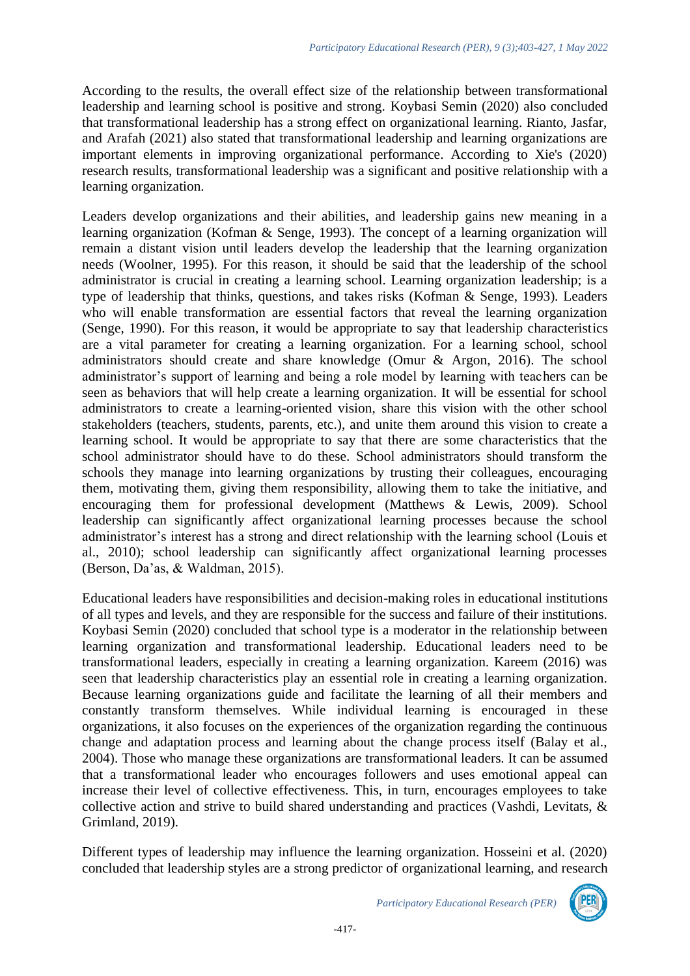According to the results, the overall effect size of the relationship between transformational leadership and learning school is positive and strong. Koybasi Semin (2020) also concluded that transformational leadership has a strong effect on organizational learning. Rianto, Jasfar, and Arafah (2021) also stated that transformational leadership and learning organizations are important elements in improving organizational performance. According to Xie's (2020) research results, transformational leadership was a significant and positive relationship with a learning organization.

Leaders develop organizations and their abilities, and leadership gains new meaning in a learning organization (Kofman & Senge, 1993). The concept of a learning organization will remain a distant vision until leaders develop the leadership that the learning organization needs (Woolner, 1995). For this reason, it should be said that the leadership of the school administrator is crucial in creating a learning school. Learning organization leadership; is a type of leadership that thinks, questions, and takes risks (Kofman & Senge, 1993). Leaders who will enable transformation are essential factors that reveal the learning organization (Senge, 1990). For this reason, it would be appropriate to say that leadership characteristics are a vital parameter for creating a learning organization. For a learning school, school administrators should create and share knowledge (Omur & Argon, 2016). The school administrator's support of learning and being a role model by learning with teachers can be seen as behaviors that will help create a learning organization. It will be essential for school administrators to create a learning-oriented vision, share this vision with the other school stakeholders (teachers, students, parents, etc.), and unite them around this vision to create a learning school. It would be appropriate to say that there are some characteristics that the school administrator should have to do these. School administrators should transform the schools they manage into learning organizations by trusting their colleagues, encouraging them, motivating them, giving them responsibility, allowing them to take the initiative, and encouraging them for professional development (Matthews & Lewis, 2009). School leadership can significantly affect organizational learning processes because the school administrator's interest has a strong and direct relationship with the learning school (Louis et al., 2010); school leadership can significantly affect organizational learning processes (Berson, Da'as, & Waldman, 2015).

Educational leaders have responsibilities and decision-making roles in educational institutions of all types and levels, and they are responsible for the success and failure of their institutions. Koybasi Semin (2020) concluded that school type is a moderator in the relationship between learning organization and transformational leadership. Educational leaders need to be transformational leaders, especially in creating a learning organization. Kareem (2016) was seen that leadership characteristics play an essential role in creating a learning organization. Because learning organizations guide and facilitate the learning of all their members and constantly transform themselves. While individual learning is encouraged in these organizations, it also focuses on the experiences of the organization regarding the continuous change and adaptation process and learning about the change process itself (Balay et al., 2004). Those who manage these organizations are transformational leaders. It can be assumed that a transformational leader who encourages followers and uses emotional appeal can increase their level of collective effectiveness. This, in turn, encourages employees to take collective action and strive to build shared understanding and practices (Vashdi, Levitats, & Grimland, 2019).

Different types of leadership may influence the learning organization. Hosseini et al. (2020) concluded that leadership styles are a strong predictor of organizational learning, and research

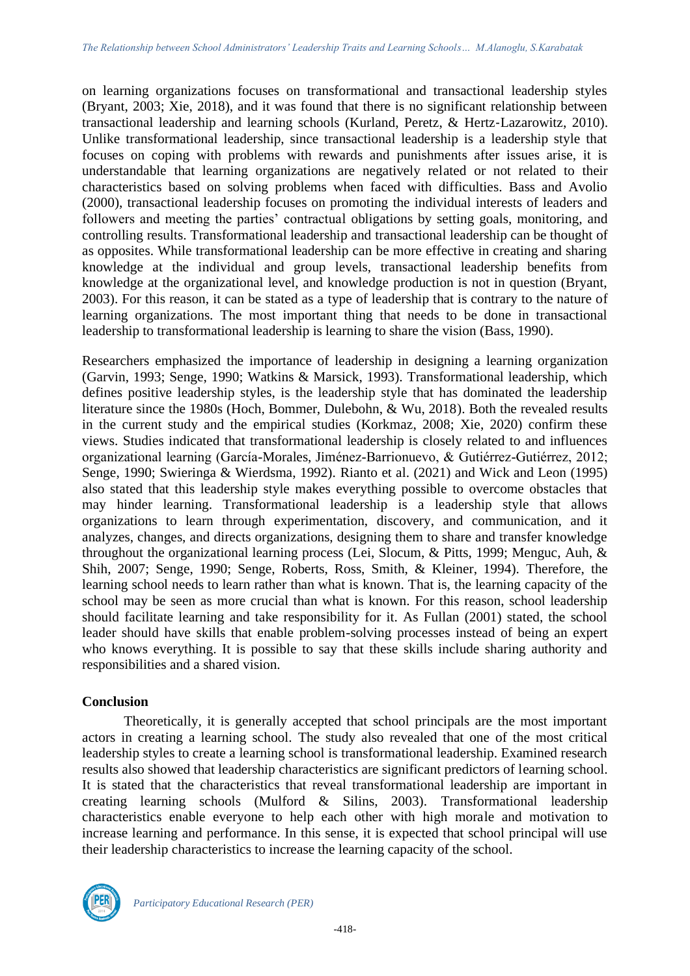on learning organizations focuses on transformational and transactional leadership styles (Bryant, 2003; Xie, 2018), and it was found that there is no significant relationship between transactional leadership and learning schools (Kurland, Peretz, & Hertz‐Lazarowitz, 2010). Unlike transformational leadership, since transactional leadership is a leadership style that focuses on coping with problems with rewards and punishments after issues arise, it is understandable that learning organizations are negatively related or not related to their characteristics based on solving problems when faced with difficulties. Bass and Avolio (2000), transactional leadership focuses on promoting the individual interests of leaders and followers and meeting the parties' contractual obligations by setting goals, monitoring, and controlling results. Transformational leadership and transactional leadership can be thought of as opposites. While transformational leadership can be more effective in creating and sharing knowledge at the individual and group levels, transactional leadership benefits from knowledge at the organizational level, and knowledge production is not in question (Bryant, 2003). For this reason, it can be stated as a type of leadership that is contrary to the nature of learning organizations. The most important thing that needs to be done in transactional leadership to transformational leadership is learning to share the vision (Bass, 1990).

Researchers emphasized the importance of leadership in designing a learning organization (Garvin, 1993; Senge, 1990; Watkins & Marsick, 1993). Transformational leadership, which defines positive leadership styles, is the leadership style that has dominated the leadership literature since the 1980s (Hoch, Bommer, Dulebohn, & Wu, 2018). Both the revealed results in the current study and the empirical studies (Korkmaz, 2008; Xie, 2020) confirm these views. Studies indicated that transformational leadership is closely related to and influences organizational learning (García-Morales, Jiménez-Barrionuevo, & Gutiérrez-Gutiérrez, 2012; Senge, 1990; Swieringa & Wierdsma, 1992). Rianto et al. (2021) and Wick and Leon (1995) also stated that this leadership style makes everything possible to overcome obstacles that may hinder learning. Transformational leadership is a leadership style that allows organizations to learn through experimentation, discovery, and communication, and it analyzes, changes, and directs organizations, designing them to share and transfer knowledge throughout the organizational learning process (Lei, Slocum, & Pitts, 1999; Menguc, Auh, & Shih, 2007; Senge, 1990; Senge, Roberts, Ross, Smith, & Kleiner, 1994). Therefore, the learning school needs to learn rather than what is known. That is, the learning capacity of the school may be seen as more crucial than what is known. For this reason, school leadership should facilitate learning and take responsibility for it. As Fullan (2001) stated, the school leader should have skills that enable problem-solving processes instead of being an expert who knows everything. It is possible to say that these skills include sharing authority and responsibilities and a shared vision.

#### **Conclusion**

Theoretically, it is generally accepted that school principals are the most important actors in creating a learning school. The study also revealed that one of the most critical leadership styles to create a learning school is transformational leadership. Examined research results also showed that leadership characteristics are significant predictors of learning school. It is stated that the characteristics that reveal transformational leadership are important in creating learning schools (Mulford & Silins, 2003). Transformational leadership characteristics enable everyone to help each other with high morale and motivation to increase learning and performance. In this sense, it is expected that school principal will use their leadership characteristics to increase the learning capacity of the school.

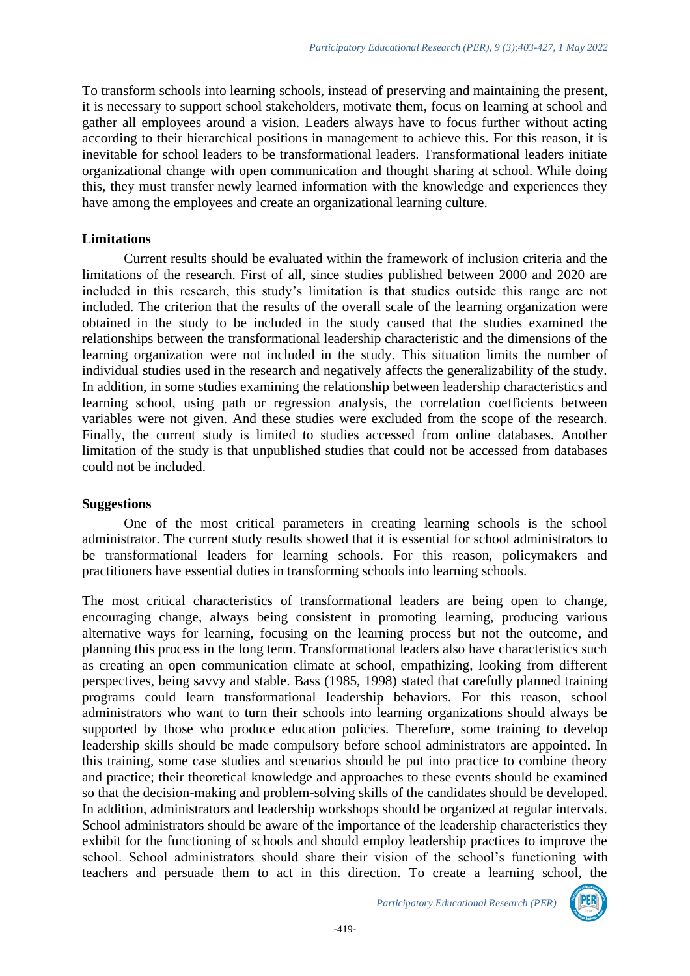To transform schools into learning schools, instead of preserving and maintaining the present, it is necessary to support school stakeholders, motivate them, focus on learning at school and gather all employees around a vision. Leaders always have to focus further without acting according to their hierarchical positions in management to achieve this. For this reason, it is inevitable for school leaders to be transformational leaders. Transformational leaders initiate organizational change with open communication and thought sharing at school. While doing this, they must transfer newly learned information with the knowledge and experiences they have among the employees and create an organizational learning culture.

#### **Limitations**

Current results should be evaluated within the framework of inclusion criteria and the limitations of the research. First of all, since studies published between 2000 and 2020 are included in this research, this study's limitation is that studies outside this range are not included. The criterion that the results of the overall scale of the learning organization were obtained in the study to be included in the study caused that the studies examined the relationships between the transformational leadership characteristic and the dimensions of the learning organization were not included in the study. This situation limits the number of individual studies used in the research and negatively affects the generalizability of the study. In addition, in some studies examining the relationship between leadership characteristics and learning school, using path or regression analysis, the correlation coefficients between variables were not given. And these studies were excluded from the scope of the research. Finally, the current study is limited to studies accessed from online databases. Another limitation of the study is that unpublished studies that could not be accessed from databases could not be included.

#### **Suggestions**

One of the most critical parameters in creating learning schools is the school administrator. The current study results showed that it is essential for school administrators to be transformational leaders for learning schools. For this reason, policymakers and practitioners have essential duties in transforming schools into learning schools.

The most critical characteristics of transformational leaders are being open to change, encouraging change, always being consistent in promoting learning, producing various alternative ways for learning, focusing on the learning process but not the outcome, and planning this process in the long term. Transformational leaders also have characteristics such as creating an open communication climate at school, empathizing, looking from different perspectives, being savvy and stable. Bass (1985, 1998) stated that carefully planned training programs could learn transformational leadership behaviors. For this reason, school administrators who want to turn their schools into learning organizations should always be supported by those who produce education policies. Therefore, some training to develop leadership skills should be made compulsory before school administrators are appointed. In this training, some case studies and scenarios should be put into practice to combine theory and practice; their theoretical knowledge and approaches to these events should be examined so that the decision-making and problem-solving skills of the candidates should be developed. In addition, administrators and leadership workshops should be organized at regular intervals. School administrators should be aware of the importance of the leadership characteristics they exhibit for the functioning of schools and should employ leadership practices to improve the school. School administrators should share their vision of the school's functioning with teachers and persuade them to act in this direction. To create a learning school, the

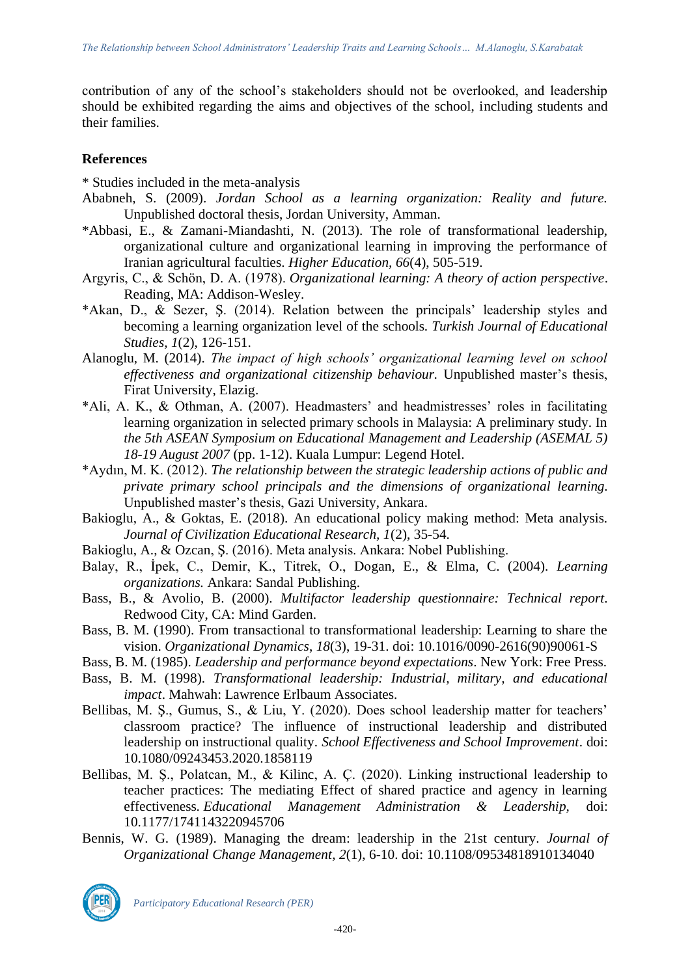contribution of any of the school's stakeholders should not be overlooked, and leadership should be exhibited regarding the aims and objectives of the school, including students and their families.

# **References**

\* Studies included in the meta-analysis

- Ababneh, S. (2009). *Jordan School as a learning organization: Reality and future.* Unpublished doctoral thesis, Jordan University, Amman.
- \*Abbasi, E., & Zamani-Miandashti, N. (2013). The role of transformational leadership, organizational culture and organizational learning in improving the performance of Iranian agricultural faculties. *Higher Education, 66*(4), 505-519.
- Argyris, C., & Schön, D. A. (1978). *Organizational learning: A theory of action perspective*. Reading, MA: Addison-Wesley.
- \*Akan, D., & Sezer, Ş. (2014). Relation between the principals' leadership styles and becoming a learning organization level of the schools. *Turkish Journal of Educational Studies, 1*(2), 126-151.
- Alanoglu, M. (2014). *The impact of high schools' organizational learning level on school effectiveness and organizational citizenship behaviour.* Unpublished master's thesis, Firat University, Elazig.
- \*Ali, A. K., & Othman, A. (2007). Headmasters' and headmistresses' roles in facilitating learning organization in selected primary schools in Malaysia: A preliminary study. In *the 5th ASEAN Symposium on Educational Management and Leadership (ASEMAL 5) 18-19 August 2007* (pp. 1-12). Kuala Lumpur: Legend Hotel.
- \*Aydın, M. K. (2012). *The relationship between the strategic leadership actions of public and private primary school principals and the dimensions of organizational learning.* Unpublished master's thesis, Gazi University, Ankara.
- Bakioglu, A., & Goktas, E. (2018). An educational policy making method: Meta analysis. *Journal of Civilization Educational Research, 1*(2), 35-54.
- Bakioglu, A., & Ozcan, Ş. (2016). Meta analysis. Ankara: Nobel Publishing.
- Balay, R., İpek, C., Demir, K., Titrek, O., Dogan, E., & Elma, C. (2004). *Learning organizations.* Ankara: Sandal Publishing.
- Bass, B., & Avolio, B. (2000). *Multifactor leadership questionnaire: Technical report*. Redwood City, CA: Mind Garden.
- Bass, B. M. (1990). From transactional to transformational leadership: Learning to share the vision. *Organizational Dynamics*, *18*(3), 19-31. doi: 10.1016/0090-2616(90)90061-S
- Bass, B. M. (1985). *Leadership and performance beyond expectations*. New York: Free Press.
- Bass, B. M. (1998). *Transformational leadership: Industrial, military, and educational impact*. Mahwah: Lawrence Erlbaum Associates.
- Bellibas, M. Ş., Gumus, S., & Liu, Y. (2020). Does school leadership matter for teachers' classroom practice? The influence of instructional leadership and distributed leadership on instructional quality. *School Effectiveness and School Improvement*. doi: 10.1080/09243453.2020.1858119
- Bellibas, M. Ş., Polatcan, M., & Kilinc, A. Ç. (2020). Linking instructional leadership to teacher practices: The mediating Effect of shared practice and agency in learning effectiveness. *Educational Management Administration & Leadership,* doi: 10.1177/1741143220945706
- [Bennis, W. G.](https://www.emerald.com/insight/search?q=Warren%20G.%20Bennis) (1989). Managing the dream: leadership in the 21st century. *[Journal of](https://www.emerald.com/insight/publication/issn/0953-4814)  [Organizational Change Management,](https://www.emerald.com/insight/publication/issn/0953-4814) 2*(1), 6-10. [doi: 10.1108/09534818910134040](https://doi.org/10.1108/09534818910134040)

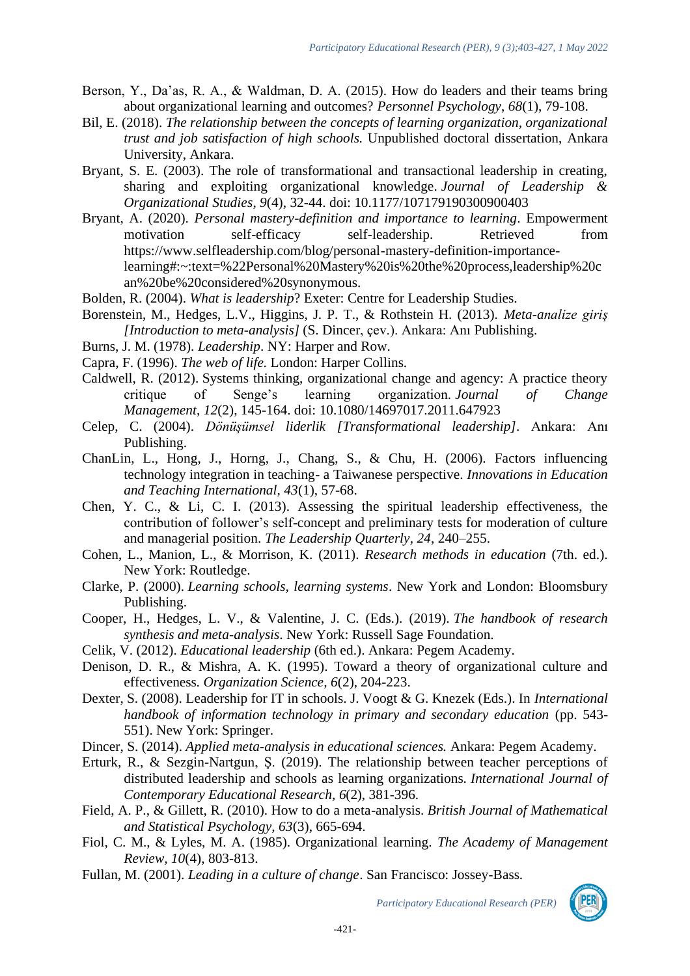- Berson, Y., Da'as, R. A., & Waldman, D. A. (2015). How do leaders and their teams bring about organizational learning and outcomes? *Personnel Psychology*, *68*(1), 79-108.
- Bil, E. (2018). *The relationship between the concepts of learning organization, organizational trust and job satisfaction of high schools.* Unpublished doctoral dissertation, Ankara University, Ankara.
- Bryant, S. E. (2003). The role of transformational and transactional leadership in creating, sharing and exploiting organizational knowledge. *Journal of Leadership & Organizational Studies*, *9*(4), 32-44. doi: 10.1177/107179190300900403
- Bryant, A. (2020). *Personal mastery-definition and importance to learning*. [Empowerment](https://www.selfleadership.com/blog?tag=empowerment) [motivation](file:///D:/laptop%20yedek/Eğitim%20Çalışmalarımm/doktora/DOKTORA%20TEZİ/sıfır%20makale/songül%20abla/Meta%20Analiz/motivation) [self-efficacy](file:///D:/laptop%20yedek/Eğitim%20Çalışmalarımm/doktora/DOKTORA%20TEZİ/sıfır%20makale/songül%20abla/Meta%20Analiz/self-efficacy) [self-leadership.](file:///D:/laptop%20yedek/Eğitim%20Çalışmalarımm/doktora/DOKTORA%20TEZİ/sıfır%20makale/songül%20abla/Meta%20Analiz/self-leadership) Retrieved from [https://www.selfleadership.com/blog/personal-mastery-definition-importance](https://www.selfleadership.com/blog/personal-mastery-definition-importance-learning#:~:text=%22Personal%20Mastery%20is%20the%20process,leadership%20can%20be%20considered%20synonymous)[learning#:~:text=%22Personal%20Mastery%20is%20the%20process,leadership%20c](https://www.selfleadership.com/blog/personal-mastery-definition-importance-learning#:~:text=%22Personal%20Mastery%20is%20the%20process,leadership%20can%20be%20considered%20synonymous) [an%20be%20considered%20synonymous.](https://www.selfleadership.com/blog/personal-mastery-definition-importance-learning#:~:text=%22Personal%20Mastery%20is%20the%20process,leadership%20can%20be%20considered%20synonymous)
- Bolden, R. (2004). *What is leadership*? Exeter: Centre for Leadership Studies.
- Borenstein, M., Hedges, L.V., Higgins, J. P. T., & Rothstein H. (2013). *Meta-analize giriş [Introduction to meta-analysis]* (S. Dincer, çev.). Ankara: Anı Publishing.
- Burns, J. M. (1978). *Leadership*. NY: Harper and Row.
- Capra, F. (1996). *The web of life.* London: Harper Collins.
- Caldwell, R. (2012). Systems thinking, organizational change and agency: A practice theory critique of Senge's learning organization. *Journal of Change Management*, *12*(2), 145-164. doi: [10.1080/14697017.2011.647923](https://doi.org/10.1080/14697017.2011.647923)
- Celep, C. (2004). *Dönüşümsel liderlik [Transformational leadership]*. Ankara: Anı Publishing.
- ChanLin, L., Hong, J., Horng, J., Chang, S., & Chu, H. (2006). Factors influencing technology integration in teaching- a Taiwanese perspective. *Innovations in Education and Teaching International, 43*(1), 57-68.
- Chen, Y. C., & Li, C. I. (2013). Assessing the spiritual leadership effectiveness, the contribution of follower's self-concept and preliminary tests for moderation of culture and managerial position. *The Leadership Quarterly, 24*, 240–255.
- Cohen, L., Manion, L., & Morrison, K. (2011). *Research methods in education* (7th. ed.). New York: Routledge.
- Clarke, P. (2000). *Learning schools, learning systems*. New York and London: Bloomsbury Publishing.
- Cooper, H., Hedges, L. V., & Valentine, J. C. (Eds.). (2019). *The handbook of research synthesis and meta-analysis*. New York: Russell Sage Foundation.
- Celik, V. (2012). *Educational leadership* (6th ed.). Ankara: Pegem Academy.
- Denison, D. R., & Mishra, A. K. (1995). Toward a theory of organizational culture and effectiveness. *Organization Science, 6*(2), 204-223.
- Dexter, S. (2008). Leadership for IT in schools. J. Voogt & G. Knezek (Eds.). In *International handbook of information technology in primary and secondary education* (pp. 543- 551). New York: Springer.
- Dincer, S. (2014). *Applied meta-analysis in educational sciences.* Ankara: Pegem Academy.
- Erturk, R., & Sezgin-Nartgun, Ş. (2019). The relationship between teacher perceptions of distributed leadership and schools as learning organizations. *International Journal of Contemporary Educational Research, 6*(2), 381-396.
- Field, A. P., & Gillett, R. (2010). How to do a meta-analysis. *British Journal of Mathematical and Statistical Psychology, 63*(3), 665-694.
- Fiol, C. M., & Lyles, M. A. (1985). Organizational learning. *The Academy of Management Review, 10*(4), 803-813.
- Fullan, M. (2001). *Leading in a culture of change*. San Francisco: Jossey-Bass.

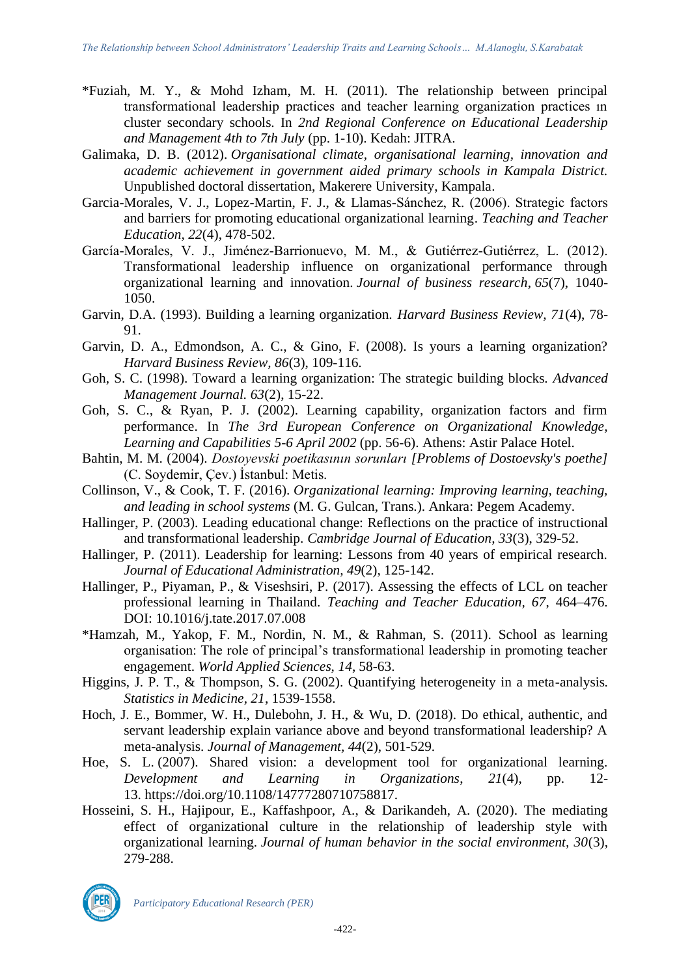- \*Fuziah, M. Y., & Mohd Izham, M. H. (2011). The relationship between principal transformational leadership practices and teacher learning organization practices ın cluster secondary schools. In *2nd Regional Conference on Educational Leadership and Management 4th to 7th July* (pp. 1-10). Kedah: JITRA.
- Galimaka, D. B. (2012). *Organisational climate, organisational learning, innovation and academic achievement in government aided primary schools in Kampala District.*  Unpublished doctoral dissertation, Makerere University, Kampala.
- Garcia-Morales, V. J., Lopez-Martin, F. J., & Llamas-Sánchez, R. (2006). Strategic factors and barriers for promoting educational organizational learning. *Teaching and Teacher Education, 22*(4), 478-502.
- García-Morales, V. J., Jiménez-Barrionuevo, M. M., & Gutiérrez-Gutiérrez, L. (2012). Transformational leadership influence on organizational performance through organizational learning and innovation. *Journal of business research*, *65*(7), 1040- 1050.
- Garvin, D.A. (1993). Building a learning organization. *Harvard Business Review, 71*(4), 78- 91.
- Garvin, D. A., Edmondson, A. C., & Gino, F. (2008). Is yours a learning organization? *Harvard Business Review, 86*(3), 109-116.
- Goh, S. C. (1998). Toward a learning organization: The strategic building blocks. *Advanced Management Journal. 63*(2), 15-22.
- Goh, S. C., & Ryan, P. J. (2002). Learning capability, organization factors and firm performance. In *The 3rd European Conference on Organizational Knowledge, Learning and Capabilities 5-6 April 2002* (pp. 56-6). Athens: Astir Palace Hotel.
- Bahtin, M. M. (2004). *Dostoyevski poetikasının sorunları [Problems of Dostoevsky's poethe]* (C. Soydemir, Çev.) İstanbul: Metis.
- Collinson, V., & Cook, T. F. (2016). *Organizational learning: Improving learning, teaching, and leading in school systems* (M. G. Gulcan, Trans.). Ankara: Pegem Academy.
- Hallinger, P. (2003). Leading educational change: Reflections on the practice of instructional and transformational leadership. *Cambridge Journal of Education, 33*(3), 329-52.
- Hallinger, P. (2011). Leadership for learning: Lessons from 40 years of empirical research. *Journal of Educational Administration, 49*(2), 125-142.
- Hallinger, P., Piyaman, P., & Viseshsiri, P. (2017). Assessing the effects of LCL on teacher professional learning in Thailand. *Teaching and Teacher Education, 67*, 464–476. DOI: 10.1016/j.tate.2017.07.008
- \*Hamzah, M., Yakop, F. M., Nordin, N. M., & Rahman, S. (2011). School as learning organisation: The role of principal's transformational leadership in promoting teacher engagement. *World Applied Sciences, 14*, 58-63.
- Higgins, J. P. T., & Thompson, S. G. (2002). Quantifying heterogeneity in a meta-analysis. *Statistics in Medicine, 21*, 1539-1558.
- Hoch, J. E., Bommer, W. H., Dulebohn, J. H., & Wu, D. (2018). Do ethical, authentic, and servant leadership explain variance above and beyond transformational leadership? A meta-analysis. *Journal of Management, 44*(2), 501-529.
- Hoe, S. L. (2007). Shared vision: a development tool for organizational learning. *Development and Learning in Organizations*, *21*(4), pp. 12- 13. https://doi.org/10.1108/14777280710758817.
- Hosseini, S. H., Hajipour, E., Kaffashpoor, A., & Darikandeh, A. (2020). The mediating effect of organizational culture in the relationship of leadership style with organizational learning. *Journal of human behavior in the social environment, 30*(3), 279-288.

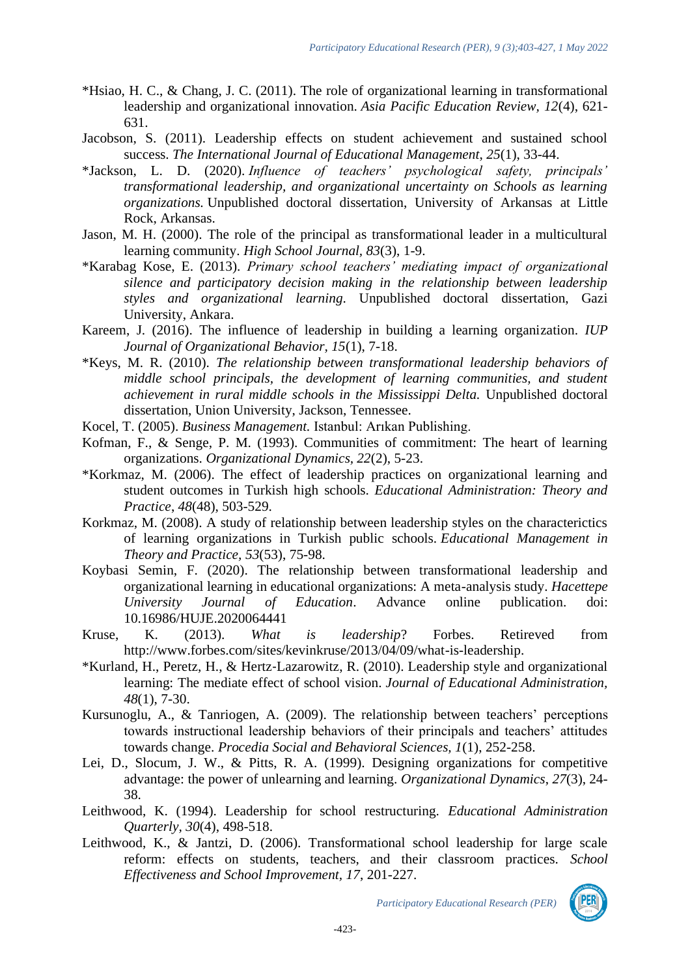- \*Hsiao, H. C., & Chang, J. C. (2011). The role of organizational learning in transformational leadership and organizational innovation. *Asia Pacific Education Review, 12*(4), 621- 631.
- Jacobson, S. (2011). Leadership effects on student achievement and sustained school success. *The International Journal of Educational Management*, *25*(1), 33-44.
- \*Jackson, L. D. (2020). *Influence of teachers' psychological safety, principals' transformational leadership, and organizational uncertainty on Schools as learning organizations.* Unpublished doctoral dissertation, University of Arkansas at Little Rock, Arkansas.
- Jason, M. H. (2000). The role of the principal as transformational leader in a multicultural learning community. *High School Journal, 83*(3), 1-9.
- \*Karabag Kose, E. (2013). *Primary school teachers' mediating impact of organizational silence and participatory decision making in the relationship between leadership styles and organizational learning.* Unpublished doctoral dissertation, Gazi University, Ankara.
- Kareem, J. (2016). The influence of leadership in building a learning organization. *IUP Journal of Organizational Behavior, 15*(1), 7-18.
- \*Keys, M. R. (2010). *The relationship between transformational leadership behaviors of middle school principals, the development of learning communities, and student achievement in rural middle schools in the Mississippi Delta.* Unpublished doctoral dissertation, Union University, Jackson, Tennessee.
- Kocel, T. (2005). *Business Management.* Istanbul: Arıkan Publishing.
- Kofman, F., & Senge, P. M. (1993). Communities of commitment: The heart of learning organizations. *Organizational Dynamics, 22*(2), 5-23.
- \*Korkmaz, M. (2006). The effect of leadership practices on organizational learning and student outcomes in Turkish high schools. *Educational Administration: Theory and Practice*, *48*(48), 503-529.
- Korkmaz, M. (2008). A study of relationship between leadership styles on the characterictics of learning organizations in Turkish public schools. *Educational Management in Theory and Practice, 53*(53), 75-98.
- Koybasi Semin, F. (2020). The relationship between transformational leadership and organizational learning in educational organizations: A meta-analysis study. *Hacettepe University Journal of Education*. Advance online publication. doi: 10.16986/HUJE.2020064441
- Kruse, K. (2013). *What is leadership*? Forbes. Retireved from [http://www.forbes.com/sites/kevinkruse/2013/04/09/what-is-leadership.](http://www.forbes.com/sites/kevinkruse/2013/04/09/what-is-leadership)
- \*Kurland, H., Peretz, H., & Hertz‐Lazarowitz, R. (2010). Leadership style and organizational learning: The mediate effect of school vision. *Journal of Educational Administration, 48*(1), 7-30.
- Kursunoglu, A., & Tanriogen, A. (2009). The relationship between teachers' perceptions towards instructional leadership behaviors of their principals and teachers' attitudes towards change. *Procedia Social and Behavioral Sciences, 1*(1), 252-258.
- Lei, D., Slocum, J. W., & Pitts, R. A. (1999). Designing organizations for competitive advantage: the power of unlearning and learning. *Organizational Dynamics*, *27*(3), 24- 38.
- Leithwood, K. (1994). Leadership for school restructuring. *Educational Administration Quarterly, 30*(4), 498-518.
- Leithwood, K., & Jantzi, D. (2006). Transformational school leadership for large scale reform: effects on students, teachers, and their classroom practices. *School Effectiveness and School Improvement, 17*, 201-227.

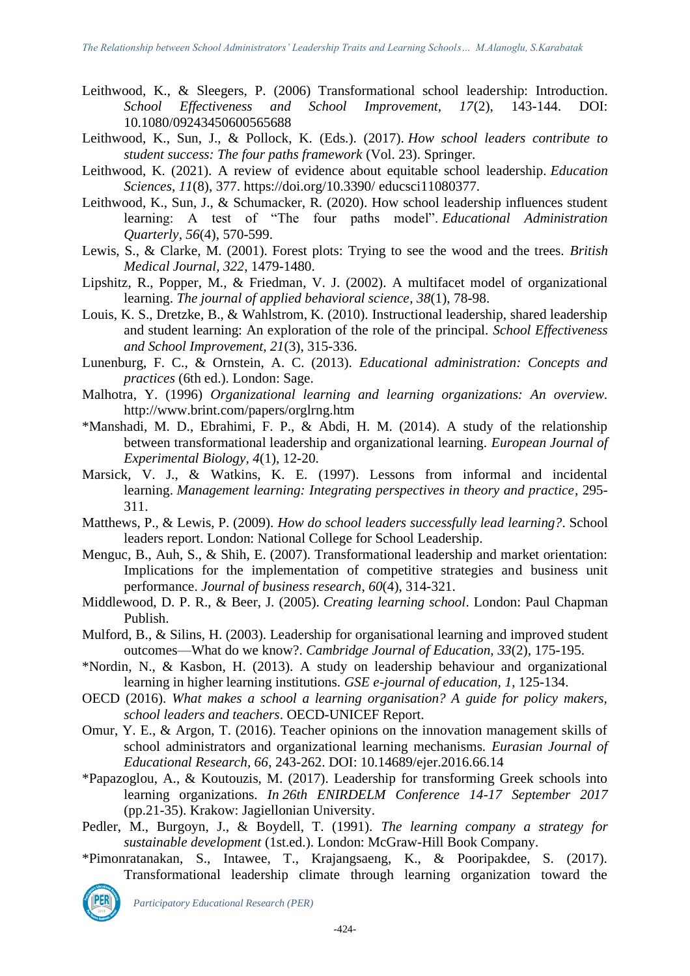- Leithwood, K., & Sleegers, P. (2006) Transformational school leadership: Introduction. *School Effectiveness and School Improvement, 17*(2), 143-144. DOI: 10.1080/09243450600565688
- Leithwood, K., Sun, J., & Pollock, K. (Eds.). (2017). *How school leaders contribute to student success: The four paths framework* (Vol. 23). Springer.
- Leithwood, K. (2021). A review of evidence about equitable school leadership. *Education Sciences*, *11*(8), 377. https://doi.org/10.3390/ educsci11080377.
- Leithwood, K., Sun, J., & Schumacker, R. (2020). How school leadership influences student learning: A test of "The four paths model". *Educational Administration Quarterly*, *56*(4), 570-599.
- Lewis, S., & Clarke, M. (2001). Forest plots: Trying to see the wood and the trees. *British Medical Journal, 322*, 1479-1480.
- Lipshitz, R., Popper, M., & Friedman, V. J. (2002). A multifacet model of organizational learning. *The journal of applied behavioral science*, *38*(1), 78-98.
- Louis, K. S., Dretzke, B., & Wahlstrom, K. (2010). Instructional leadership, shared leadership and student learning: An exploration of the role of the principal. *School Effectiveness and School Improvement, 21*(3), 315-336.
- Lunenburg, F. C., & Ornstein, A. C. (2013). *Educational administration: Concepts and practices* (6th ed.). London: Sage.
- Malhotra, Y. (1996) *Organizational learning and learning organizations: An overview.* http://www.brint.com/papers/orglrng.htm
- \*Manshadi, M. D., Ebrahimi, F. P., & Abdi, H. M. (2014). A study of the relationship between transformational leadership and organizational learning. *European Journal of Experimental Biology, 4*(1), 12-20.
- Marsick, V. J., & Watkins, K. E. (1997). Lessons from informal and incidental learning. *Management learning: Integrating perspectives in theory and practice*, 295- 311.
- Matthews, P., & Lewis, P. (2009). *How do school leaders successfully lead learning?*. School leaders report. London: National College for School Leadership.
- Menguc, B., Auh, S., & Shih, E. (2007). Transformational leadership and market orientation: Implications for the implementation of competitive strategies and business unit performance. *Journal of business research*, *60*(4), 314-321.
- Middlewood, D. P. R., & Beer, J. (2005). *Creating learning school*. London: Paul Chapman Publish.
- Mulford, B., & Silins, H. (2003). Leadership for organisational learning and improved student outcomes—What do we know?. *Cambridge Journal of Education, 33*(2), 175-195.
- \*Nordin, N., & Kasbon, H. (2013). A study on leadership behaviour and organizational learning in higher learning institutions. *GSE e-journal of education, 1*, 125-134.
- OECD (2016). *What makes a school a learning organisation? A guide for policy makers, school leaders and teachers*. OECD-UNICEF Report.
- Omur, Y. E., & Argon, T. (2016). Teacher opinions on the innovation management skills of school administrators and organizational learning mechanisms. *Eurasian Journal of Educational Research, 66*, 243-262. DOI: 10.14689/ejer.2016.66.14
- \*Papazoglou, A., & Koutouzis, M. (2017). Leadership for transforming Greek schools into learning organizations. *In 26th ENIRDELM Conference 14-17 September 2017* (pp.21-35). Krakow: [Jagiellonian University.](http://www.uj.edu.pl/)
- Pedler, M., Burgoyn, J., & Boydell, T. (1991). *The learning company a strategy for sustainable development* (1st.ed.). London: McGraw-Hill Book Company.
- \*Pimonratanakan, S., Intawee, T., Krajangsaeng, K., & Pooripakdee, S. (2017). Transformational leadership climate through learning organization toward the

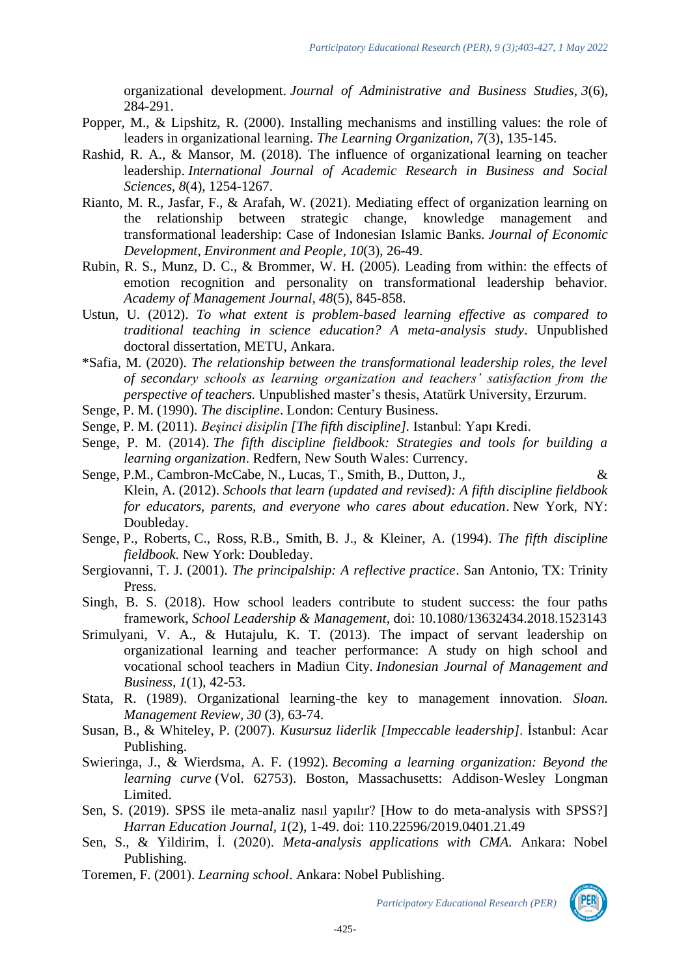organizational development. *Journal of Administrative and Business Studies, 3*(6), 284-291.

- Popper, M., & Lipshitz, R. (2000). Installing mechanisms and instilling values: the role of leaders in organizational learning. *The Learning Organization, 7*(3), 135-145.
- Rashid, R. A., & Mansor, M. (2018). The influence of organizational learning on teacher leadership. *International Journal of Academic Research in Business and Social Sciences, 8*(4), 1254-1267.
- Rianto, M. R., Jasfar, F., & Arafah, W. (2021). Mediating effect of organization learning on the relationship between strategic change, knowledge management and transformational leadership: Case of Indonesian Islamic Banks. *Journal of Economic Development, Environment and People*, *10*(3), 26-49.
- Rubin, R. S., Munz, D. C., & Brommer, W. H. (2005). Leading from within: the effects of emotion recognition and personality on transformational leadership behavior. *Academy of Management Journal, 48*(5), 845-858.
- Ustun, U. (2012). *To what extent is problem-based learning effective as compared to traditional teaching in science education? A meta-analysis study*. Unpublished doctoral dissertation, METU, Ankara.
- \*Safia, M. (2020). *The relationship between the transformational leadership roles, the level of secondary schools as learning organization and teachers' satisfaction from the perspective of teachers.* Unpublished master's thesis, Atatürk University, Erzurum.
- Senge, P. M. (1990). *The discipline*. London: Century Business.
- Senge, P. M. (2011). *Beşinci disiplin [The [fifth discipline\]](https://www.emerald.com/insight/content/doi/10.1108/eb025496/full/html).* Istanbul: Yapı Kredi.
- Senge, P. M. (2014). *The fifth discipline fieldbook: Strategies and tools for building a learning organization*. [Redfern, New South Wales:](https://en.wikipedia.org/wiki/Redfern,_New_South_Wales) Currency.
- Senge, P.M., Cambron-McCabe, N., Lucas, T., Smith, B., Dutton, J.,  $\&$ Klein, A. (2012). *Schools that learn (updated and revised): A fifth discipline fieldbook for educators, parents, and everyone who cares about education*. New York, NY: Doubleday.
- Senge, P., Roberts, C., Ross, R.B., Smith, B. J., & Kleiner, A. (1994). *The fifth discipline fieldbook.* New York: Doubleday.
- Sergiovanni, T. J. (2001). *The principalship: A reflective practice*. San Antonio, TX: Trinity Press.
- Singh, B. S. (2018). How school leaders contribute to student success: the four paths framework, *School Leadership & Management*, doi: 10.1080/13632434.2018.1523143
- Srimulyani, V. A., & Hutajulu, K. T. (2013). The impact of servant leadership on organizational learning and teacher performance: A study on high school and vocational school teachers in Madiun City. *Indonesian Journal of Management and Business, 1*(1), 42-53.
- Stata, R. (1989). Organizational learning-the key to management innovation. *Sloan. Management Review, 30* (3), 63-74.
- Susan, B., & Whiteley, P. (2007). *Kusursuz liderlik [Impeccable leadership]*. İstanbul: Acar Publishing.
- Swieringa, J., & Wierdsma, A. F. (1992). *Becoming a learning organization: Beyond the learning curve* (Vol. 62753). [Boston, Massachusetts:](https://www.google.com/search?sxsrf=ALeKk00eMzQ7PxKpi2RpKcyTUdnR6cFfsQ:1616279484728&q=Boston&stick=H4sIAAAAAAAAAOPgE-LSz9U3ME6qMDbMU-IAsQ2TK-K1NDLKrfST83NyUpNLMvPz9POL0hPzMqsSQZxiq_TEoqLMYqBwRuEiVjan_OKS_LwdrIwALVMF3k4AAAA&sa=X&ved=2ahUKEwjmyq2k9r_vAhXOlosKHVSOA_0QmxMoATAVegQIFxAD) Addison-Wesley Longman Limited.
- Sen, S. (2019). SPSS ile meta-analiz nasıl yapılır? [How to do meta-analysis with SPSS?] *Harran Education Journal, 1*(2), 1-49. doi: 110.22596/2019.0401.21.49
- Sen, S., & Yildirim, İ. (2020). *Meta-analysis applications with CMA.* Ankara: Nobel Publishing.
- Toremen, F. (2001). *Learning school*. Ankara: Nobel Publishing.

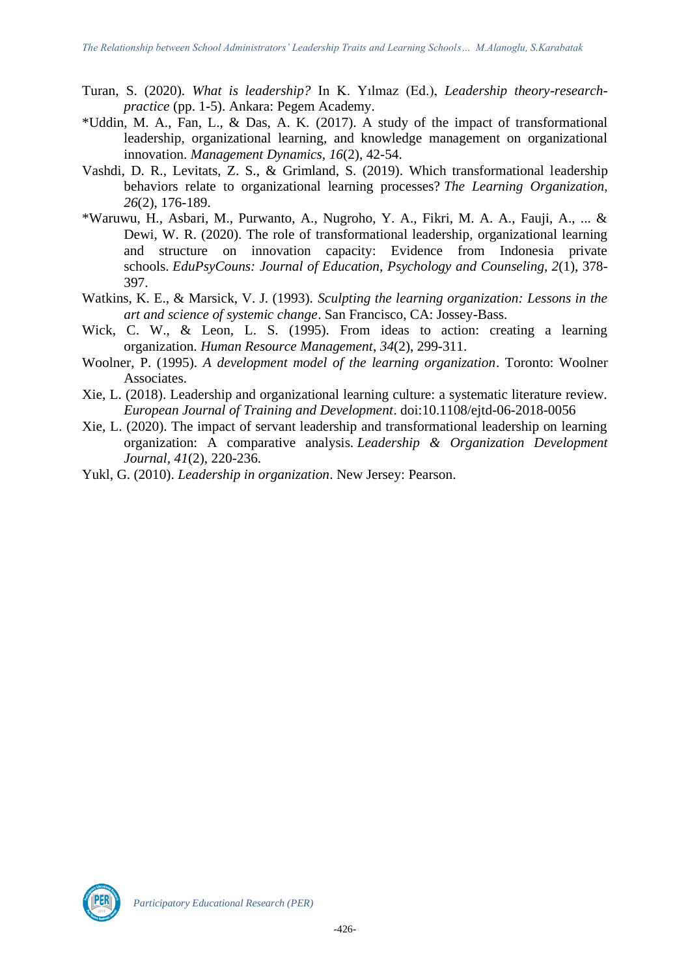- Turan, S. (2020). *What is leadership?* In K. Yılmaz (Ed.), *Leadership theory-researchpractice* (pp. 1-5). Ankara: Pegem Academy.
- \*Uddin, M. A., Fan, L., & Das, A. K. (2017). A study of the impact of transformational leadership, organizational learning, and knowledge management on organizational innovation. *Management Dynamics, 16*(2), 42-54.
- Vashdi, D. R., Levitats, Z. S., & Grimland, S. (2019). Which transformational leadership behaviors relate to organizational learning processes? *The Learning Organization*, *26*(2), 176-189.
- \*Waruwu, H., Asbari, M., Purwanto, A., Nugroho, Y. A., Fikri, M. A. A., Fauji, A., ... & Dewi, W. R. (2020). The role of transformational leadership, organizational learning and structure on innovation capacity: Evidence from Indonesia private schools. *EduPsyCouns: Journal of Education, Psychology and Counseling, 2*(1), 378- 397.
- Watkins, K. E., & Marsick, V. J. (1993). *Sculpting the learning organization: Lessons in the art and science of systemic change*. San Francisco, CA: Jossey-Bass.
- Wick, C. W., & Leon, L. S. (1995). From ideas to action: creating a learning organization. *Human Resource Management*, *34*(2), 299-311.
- Woolner, P. (1995). *A development model of the learning organization*. Toronto: Woolner Associates.
- Xie, L. (2018). Leadership and organizational learning culture: a systematic literature review. *European Journal of Training and Development*. doi:10.1108/ejtd-06-2018-0056
- Xie, L. (2020). The impact of servant leadership and transformational leadership on learning organization: A comparative analysis. *Leadership & Organization Development Journal, 41*(2), 220-236.
- Yukl, G. (2010). *Leadership in organization*. New Jersey: Pearson.